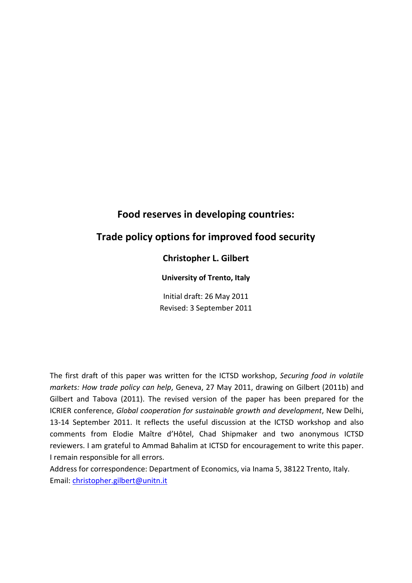# **Food reserves in developing countries:**

# **Trade policy options for improved food security**

# **Christopher L. Gilbert**

### **University of Trento, Italy**

Initial draft: 26 May 2011 Revised: 3 September 2011

The first draft of this paper was written for the ICTSD workshop, *Securing food in volatile markets: How trade policy can help*, Geneva, 27 May 2011, drawing on Gilbert (2011b) and Gilbert and Tabova (2011). The revised version of the paper has been prepared for the ICRIER conference, *Global cooperation for sustainable growth and development*, New Delhi, 13-14 September 2011. It reflects the useful discussion at the ICTSD workshop and also comments from Elodie Maître d'Hôtel, Chad Shipmaker and two anonymous ICTSD reviewers. I am grateful to Ammad Bahalim at ICTSD for encouragement to write this paper. I remain responsible for all errors.

Address for correspondence: Department of Economics, via Inama 5, 38122 Trento, Italy. Email: [christopher.gilbert@unitn.it](mailto:christopher.gilbert@unitn.it)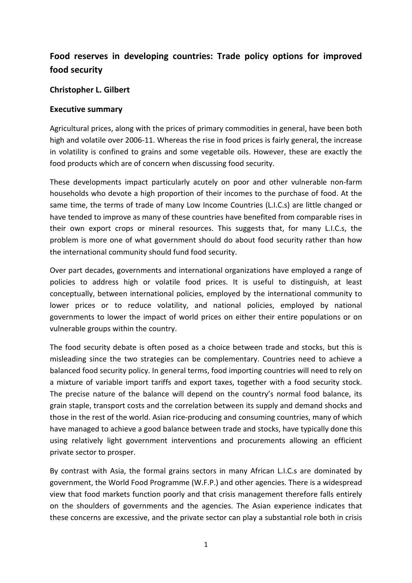# **Food reserves in developing countries: Trade policy options for improved food security**

# **Christopher L. Gilbert**

# **Executive summary**

<span id="page-1-0"></span>Agricultural prices, along with the prices of primary commodities in general, have been both high and volatile over 2006-11. Whereas the rise in food prices is fairly general, the increase in volatility is confined to grains and some vegetable oils. However, these are exactly the food products which are of concern when discussing food security.

These developments impact particularly acutely on poor and other vulnerable non-farm households who devote a high proportion of their incomes to the purchase of food. At the same time, the terms of trade of many Low Income Countries (L.I.C.s) are little changed or have tended to improve as many of these countries have benefited from comparable rises in their own export crops or mineral resources. This suggests that, for many L.I.C.s, the problem is more one of what government should do about food security rather than how the international community should fund food security.

Over part decades, governments and international organizations have employed a range of policies to address high or volatile food prices. It is useful to distinguish, at least conceptually, between international policies, employed by the international community to lower prices or to reduce volatility, and national policies, employed by national governments to lower the impact of world prices on either their entire populations or on vulnerable groups within the country.

The food security debate is often posed as a choice between trade and stocks, but this is misleading since the two strategies can be complementary. Countries need to achieve a balanced food security policy. In general terms, food importing countries will need to rely on a mixture of variable import tariffs and export taxes, together with a food security stock. The precise nature of the balance will depend on the country's normal food balance, its grain staple, transport costs and the correlation between its supply and demand shocks and those in the rest of the world. Asian rice-producing and consuming countries, many of which have managed to achieve a good balance between trade and stocks, have typically done this using relatively light government interventions and procurements allowing an efficient private sector to prosper.

By contrast with Asia, the formal grains sectors in many African L.I.C.s are dominated by government, the World Food Programme (W.F.P.) and other agencies. There is a widespread view that food markets function poorly and that crisis management therefore falls entirely on the shoulders of governments and the agencies. The Asian experience indicates that these concerns are excessive, and the private sector can play a substantial role both in crisis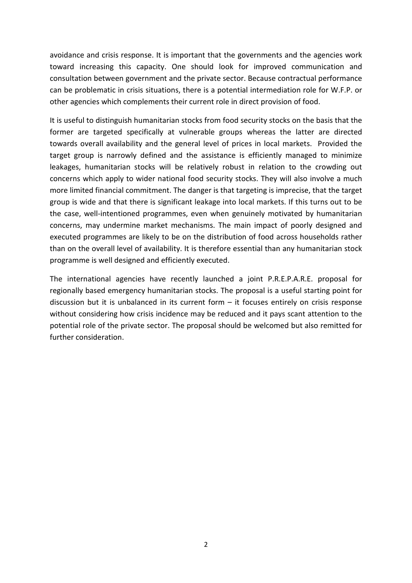avoidance and crisis response. It is important that the governments and the agencies work toward increasing this capacity. One should look for improved communication and consultation between government and the private sector. Because contractual performance can be problematic in crisis situations, there is a potential intermediation role for W.F.P. or other agencies which complements their current role in direct provision of food.

It is useful to distinguish humanitarian stocks from food security stocks on the basis that the former are targeted specifically at vulnerable groups whereas the latter are directed towards overall availability and the general level of prices in local markets. Provided the target group is narrowly defined and the assistance is efficiently managed to minimize leakages, humanitarian stocks will be relatively robust in relation to the crowding out concerns which apply to wider national food security stocks. They will also involve a much more limited financial commitment. The danger is that targeting is imprecise, that the target group is wide and that there is significant leakage into local markets. If this turns out to be the case, well-intentioned programmes, even when genuinely motivated by humanitarian concerns, may undermine market mechanisms. The main impact of poorly designed and executed programmes are likely to be on the distribution of food across households rather than on the overall level of availability. It is therefore essential than any humanitarian stock programme is well designed and efficiently executed.

The international agencies have recently launched a joint P.R.E.P.A.R.E. proposal for regionally based emergency humanitarian stocks. The proposal is a useful starting point for discussion but it is unbalanced in its current form – it focuses entirely on crisis response without considering how crisis incidence may be reduced and it pays scant attention to the potential role of the private sector. The proposal should be welcomed but also remitted for further consideration.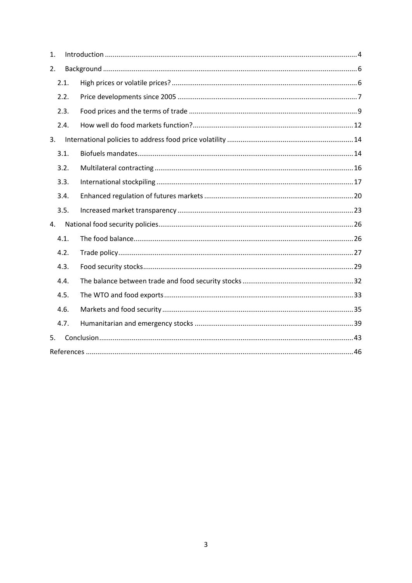| 1. |      |  |  |  |  |  |  |
|----|------|--|--|--|--|--|--|
| 2. |      |  |  |  |  |  |  |
|    | 2.1. |  |  |  |  |  |  |
|    | 2.2. |  |  |  |  |  |  |
|    | 2.3. |  |  |  |  |  |  |
|    | 2.4. |  |  |  |  |  |  |
| 3. |      |  |  |  |  |  |  |
|    | 3.1. |  |  |  |  |  |  |
|    | 3.2. |  |  |  |  |  |  |
|    | 3.3. |  |  |  |  |  |  |
|    | 3.4. |  |  |  |  |  |  |
|    | 3.5. |  |  |  |  |  |  |
| 4. |      |  |  |  |  |  |  |
|    | 4.1. |  |  |  |  |  |  |
|    | 4.2. |  |  |  |  |  |  |
|    | 4.3. |  |  |  |  |  |  |
|    | 4.4. |  |  |  |  |  |  |
|    | 4.5. |  |  |  |  |  |  |
|    | 4.6. |  |  |  |  |  |  |
|    | 4.7. |  |  |  |  |  |  |
| 5. |      |  |  |  |  |  |  |
|    |      |  |  |  |  |  |  |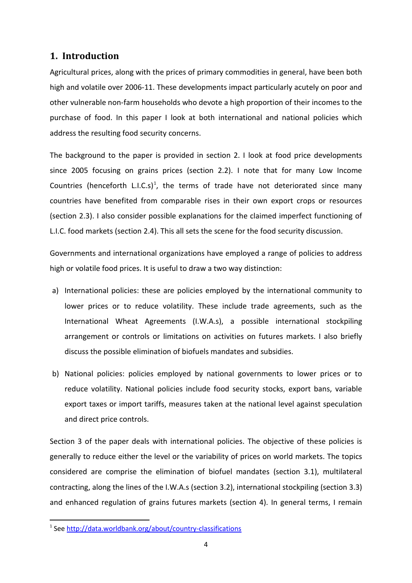# <span id="page-4-0"></span>**1. Introduction**

[Agricultural prices, along with the prices of primary commodities in general, have been both](#page-1-0)  [high and volatile over 2006-11.](#page-1-0) These developments impact particularly acutely on poor and other vulnerable non-farm households who devote a high proportion of their incomes to the purchase of food. In this paper I look at both international and national policies which address the resulting food security concerns.

The background to the paper is provided in section 2. I look at food price developments since 2005 focusing on grains prices (section 2.2). I note that for many Low Income Countries (henceforth L.I.C.s)<sup>[1](#page-4-1)</sup>, the terms of trade have not deteriorated since many countries have benefited from comparable rises in their own export crops or resources (section 2.3). I also consider possible explanations for the claimed imperfect functioning of L.I.C. food markets (section 2.4). This all sets the scene for the food security discussion.

Governments and international organizations have employed a range of policies to address high or volatile food prices. It is useful to draw a two way distinction:

- a) International policies: these are policies employed by the international community to lower prices or to reduce volatility. These include trade agreements, such as the International Wheat Agreements (I.W.A.s), a possible international stockpiling arrangement or controls or limitations on activities on futures markets. I also briefly discuss the possible elimination of biofuels mandates and subsidies.
- b) National policies: policies employed by national governments to lower prices or to reduce volatility. National policies include food security stocks, export bans, variable export taxes or import tariffs, measures taken at the national level against speculation and direct price controls.

Section 3 of the paper deals with international policies. The objective of these policies is generally to reduce either the level or the variability of prices on world markets. The topics considered are comprise the elimination of biofuel mandates (section 3.1), multilateral contracting, along the lines of the I.W.A.s (section 3.2), international stockpiling (section 3.3) and enhanced regulation of grains futures markets (section 4). In general terms, I remain

<span id="page-4-1"></span><sup>&</sup>lt;sup>1</sup> See<http://data.worldbank.org/about/country-classifications>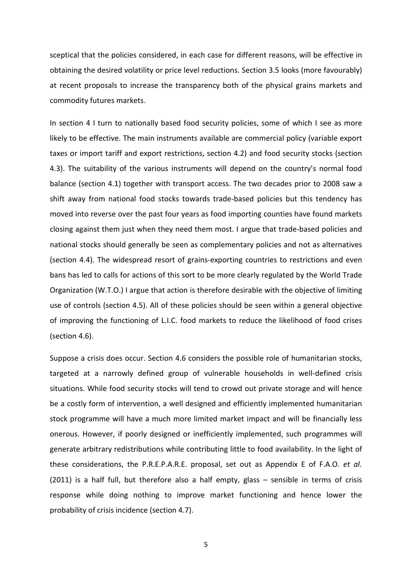sceptical that the policies considered, in each case for different reasons, will be effective in obtaining the desired volatility or price level reductions. Section 3.5 looks (more favourably) at recent proposals to increase the transparency both of the physical grains markets and commodity futures markets.

In section 4 I turn to nationally based food security policies, some of which I see as more likely to be effective. The main instruments available are commercial policy (variable export taxes or import tariff and export restrictions, section 4.2) and food security stocks (section 4.3). The suitability of the various instruments will depend on the country's normal food balance (section 4.1) together with transport access. The two decades prior to 2008 saw a shift away from national food stocks towards trade-based policies but this tendency has moved into reverse over the past four years as food importing counties have found markets closing against them just when they need them most. I argue that trade-based policies and national stocks should generally be seen as complementary policies and not as alternatives (section 4.4). The widespread resort of grains-exporting countries to restrictions and even bans has led to calls for actions of this sort to be more clearly regulated by the World Trade Organization (W.T.O.) I argue that action is therefore desirable with the objective of limiting use of controls (section 4.5). All of these policies should be seen within a general objective of improving the functioning of L.I.C. food markets to reduce the likelihood of food crises (section 4.6).

Suppose a crisis does occur. Section 4.6 considers the possible role of humanitarian stocks, targeted at a narrowly defined group of vulnerable households in well-defined crisis situations. While food security stocks will tend to crowd out private storage and will hence be a costly form of intervention, a well designed and efficiently implemented humanitarian stock programme will have a much more limited market impact and will be financially less onerous. However, if poorly designed or inefficiently implemented, such programmes will generate arbitrary redistributions while contributing little to food availability. In the light of these considerations, the P.R.E.P.A.R.E. proposal, set out as Appendix E of F.A.O. *et al.* (2011) is a half full, but therefore also a half empty, glass – sensible in terms of crisis response while doing nothing to improve market functioning and hence lower the probability of crisis incidence (section 4.7).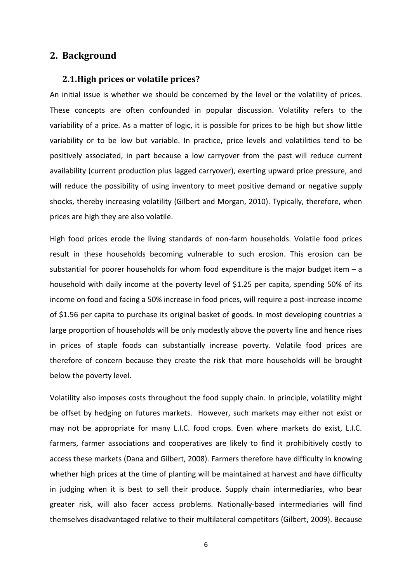## <span id="page-6-1"></span><span id="page-6-0"></span>**2. Background**

#### **2.1.High prices or volatile prices?**

An initial issue is whether we should be concerned by the level or the volatility of prices. These concepts are often confounded in popular discussion. Volatility refers to the variability of a price. As a matter of logic, it is possible for prices to be high but show little variability or to be low but variable. In practice, price levels and volatilities tend to be positively associated, in part because a low carryover from the past will reduce current availability (current production plus lagged carryover), exerting upward price pressure, and will reduce the possibility of using inventory to meet positive demand or negative supply shocks, thereby increasing volatility (Gilbert and Morgan, 2010). Typically, therefore, when prices are high they are also volatile.

High food prices erode the living standards of non-farm households. Volatile food prices result in these households becoming vulnerable to such erosion. This erosion can be substantial for poorer households for whom food expenditure is the major budget item  $- a$ household with daily income at the poverty level of \$1.25 per capita, spending 50% of its income on food and facing a 50% increase in food prices, will require a post-increase income of \$1.56 per capita to purchase its original basket of goods. In most developing countries a large proportion of households will be only modestly above the poverty line and hence rises in prices of staple foods can substantially increase poverty. Volatile food prices are therefore of concern because they create the risk that more households will be brought below the poverty level.

Volatility also imposes costs throughout the food supply chain. In principle, volatility might be offset by hedging on futures markets. However, such markets may either not exist or may not be appropriate for many L.I.C. food crops. Even where markets do exist, L.I.C. farmers, farmer associations and cooperatives are likely to find it prohibitively costly to access these markets (Dana and Gilbert, 2008). Farmers therefore have difficulty in knowing whether high prices at the time of planting will be maintained at harvest and have difficulty in judging when it is best to sell their produce. Supply chain intermediaries, who bear greater risk, will also facer access problems. Nationally-based intermediaries will find themselves disadvantaged relative to their multilateral competitors (Gilbert, 2009). Because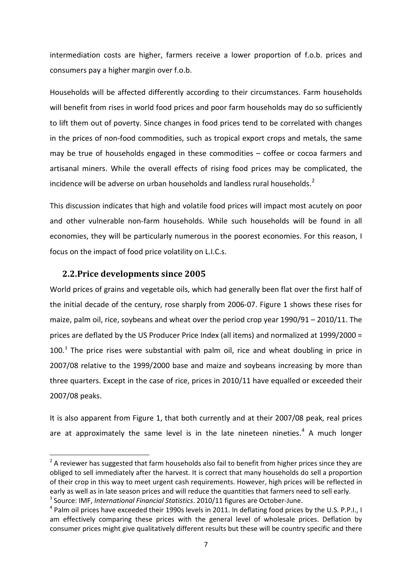intermediation costs are higher, farmers receive a lower proportion of f.o.b. prices and consumers pay a higher margin over f.o.b.

Households will be affected differently according to their circumstances. Farm households will benefit from rises in world food prices and poor farm households may do so sufficiently to lift them out of poverty. Since changes in food prices tend to be correlated with changes in the prices of non-food commodities, such as tropical export crops and metals, the same may be true of households engaged in these commodities – coffee or cocoa farmers and artisanal miners. While the overall effects of rising food prices may be complicated, the incidence will be adverse on urban households and landless rural households. $^2$  $^2$ 

This discussion indicates that high and volatile food prices will impact most acutely on poor and other vulnerable non-farm households. While such households will be found in all economies, they will be particularly numerous in the poorest economies. For this reason, I focus on the impact of food price volatility on L.I.C.s.

## <span id="page-7-0"></span>**2.2.Price developments since 2005**

World prices of grains and vegetable oils, which had generally been flat over the first half of the initial decade of the century, rose sharply from 2006-07. Figure 1 shows these rises for maize, palm oil, rice, soybeans and wheat over the period crop year 1990/91 – 2010/11. The prices are deflated by the US Producer Price Index (all items) and normalized at 1999/2000 =  $100<sup>3</sup>$  $100<sup>3</sup>$  $100<sup>3</sup>$  The price rises were substantial with palm oil, rice and wheat doubling in price in 2007/08 relative to the 1999/2000 base and maize and soybeans increasing by more than three quarters. Except in the case of rice, prices in 2010/11 have equalled or exceeded their 2007/08 peaks.

It is also apparent from Figure 1, that both currently and at their 2007/08 peak, real prices are at approximately the same level is in the late nineteen nineties.<sup>[4](#page-7-3)</sup> A much longer

<span id="page-7-1"></span> $2$  A reviewer has suggested that farm households also fail to benefit from higher prices since they are obliged to sell immediately after the harvest. It is correct that many households do sell a proportion of their crop in this way to meet urgent cash requirements. However, high prices will be reflected in early as well as in late season prices and will reduce the quantities that farmers need to sell early. <sup>3</sup> Source: IMF, *International Financial Statistics*. 2010/11 figures are October-June.

<span id="page-7-3"></span><span id="page-7-2"></span><sup>&</sup>lt;sup>4</sup> Palm oil prices have exceeded their 1990s levels in 2011. In deflating food prices by the U.S. P.P.I., I am effectively comparing these prices with the general level of wholesale prices. Deflation by consumer prices might give qualitatively different results but these will be country specific and there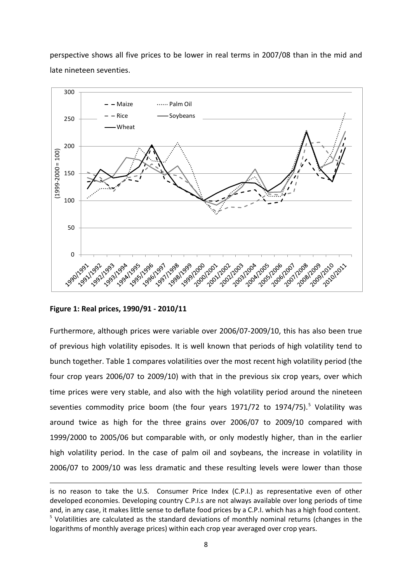perspective shows all five prices to be lower in real terms in 2007/08 than in the mid and late nineteen seventies.



**Figure 1: Real prices, 1990/91 - 2010/11**

**.** 

Furthermore, although prices were variable over 2006/07-2009/10, this has also been true of previous high volatility episodes. It is well known that periods of high volatility tend to bunch together. Table 1 compares volatilities over the most recent high volatility period (the four crop years 2006/07 to 2009/10) with that in the previous six crop years, over which time prices were very stable, and also with the high volatility period around the nineteen seventies commodity price boom (the four years 1971/72 to 1974/7[5](#page-8-0)).<sup>5</sup> Volatility was around twice as high for the three grains over 2006/07 to 2009/10 compared with 1999/2000 to 2005/06 but comparable with, or only modestly higher, than in the earlier high volatility period. In the case of palm oil and soybeans, the increase in volatility in 2006/07 to 2009/10 was less dramatic and these resulting levels were lower than those

<span id="page-8-0"></span>is no reason to take the U.S. Consumer Price Index (C.P.I.) as representative even of other developed economies. Developing country C.P.I.s are not always available over long periods of time and, in any case, it makes little sense to deflate food prices by a C.P.I. which has a high food content.  $<sup>5</sup>$  Volatilities are calculated as the standard deviations of monthly nominal returns (changes in the</sup> logarithms of monthly average prices) within each crop year averaged over crop years.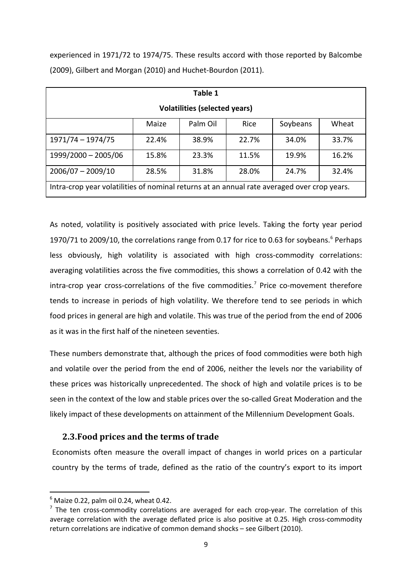experienced in 1971/72 to 1974/75. These results accord with those reported by Balcombe (2009), Gilbert and Morgan (2010) and Huchet-Bourdon (2011).

| Table 1                                                                                     |       |          |             |          |       |  |  |  |  |
|---------------------------------------------------------------------------------------------|-------|----------|-------------|----------|-------|--|--|--|--|
| <b>Volatilities (selected years)</b>                                                        |       |          |             |          |       |  |  |  |  |
|                                                                                             | Maize | Palm Oil | <b>Rice</b> | Soybeans | Wheat |  |  |  |  |
| 1971/74 - 1974/75                                                                           | 22.4% | 38.9%    | 22.7%       | 34.0%    | 33.7% |  |  |  |  |
| 1999/2000 - 2005/06                                                                         | 15.8% | 23.3%    | 11.5%       | 19.9%    | 16.2% |  |  |  |  |
| $2006/07 - 2009/10$                                                                         | 28.5% | 31.8%    | 28.0%       | 24.7%    | 32.4% |  |  |  |  |
| Intra-crop year volatilities of nominal returns at an annual rate averaged over crop years. |       |          |             |          |       |  |  |  |  |

As noted, volatility is positively associated with price levels. Taking the forty year period 1970/71 to 2009/10, the correlations range from 0.17 for rice to 0.[6](#page-9-1)3 for soybeans.<sup>6</sup> Perhaps less obviously, high volatility is associated with high cross-commodity correlations: averaging volatilities across the five commodities, this shows a correlation of 0.42 with the intra-crop year cross-correlations of the five commodities.<sup>[7](#page-9-2)</sup> Price co-movement therefore tends to increase in periods of high volatility. We therefore tend to see periods in which food prices in general are high and volatile. This was true of the period from the end of 2006 as it was in the first half of the nineteen seventies.

These numbers demonstrate that, although the prices of food commodities were both high and volatile over the period from the end of 2006, neither the levels nor the variability of these prices was historically unprecedented. The shock of high and volatile prices is to be seen in the context of the low and stable prices over the so-called Great Moderation and the likely impact of these developments on attainment of the Millennium Development Goals.

# <span id="page-9-0"></span>**2.3.Food prices and the terms of trade**

Economists often measure the overall impact of changes in world prices on a particular country by the terms of trade, defined as the ratio of the country's export to its import

<span id="page-9-1"></span> $6$  Maize 0.22, palm oil 0.24, wheat 0.42.

<span id="page-9-2"></span> $<sup>7</sup>$  The ten cross-commodity correlations are averaged for each crop-year. The correlation of this</sup> average correlation with the average deflated price is also positive at 0.25. High cross-commodity return correlations are indicative of common demand shocks – see Gilbert (2010).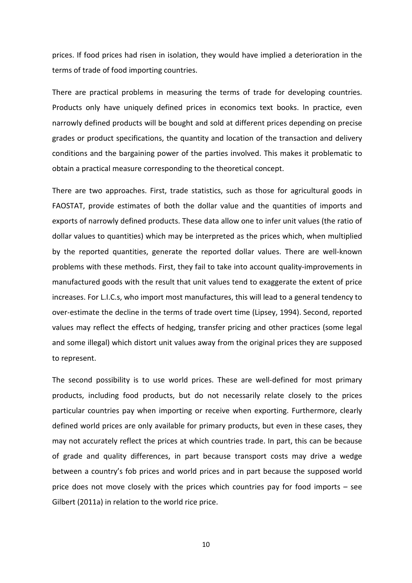prices. If food prices had risen in isolation, they would have implied a deterioration in the terms of trade of food importing countries.

There are practical problems in measuring the terms of trade for developing countries. Products only have uniquely defined prices in economics text books. In practice, even narrowly defined products will be bought and sold at different prices depending on precise grades or product specifications, the quantity and location of the transaction and delivery conditions and the bargaining power of the parties involved. This makes it problematic to obtain a practical measure corresponding to the theoretical concept.

There are two approaches. First, trade statistics, such as those for agricultural goods in FAOSTAT, provide estimates of both the dollar value and the quantities of imports and exports of narrowly defined products. These data allow one to infer unit values (the ratio of dollar values to quantities) which may be interpreted as the prices which, when multiplied by the reported quantities, generate the reported dollar values. There are well-known problems with these methods. First, they fail to take into account quality-improvements in manufactured goods with the result that unit values tend to exaggerate the extent of price increases. For L.I.C.s, who import most manufactures, this will lead to a general tendency to over-estimate the decline in the terms of trade overt time (Lipsey, 1994). Second, reported values may reflect the effects of hedging, transfer pricing and other practices (some legal and some illegal) which distort unit values away from the original prices they are supposed to represent.

The second possibility is to use world prices. These are well-defined for most primary products, including food products, but do not necessarily relate closely to the prices particular countries pay when importing or receive when exporting. Furthermore, clearly defined world prices are only available for primary products, but even in these cases, they may not accurately reflect the prices at which countries trade. In part, this can be because of grade and quality differences, in part because transport costs may drive a wedge between a country's fob prices and world prices and in part because the supposed world price does not move closely with the prices which countries pay for food imports – see Gilbert (2011a) in relation to the world rice price.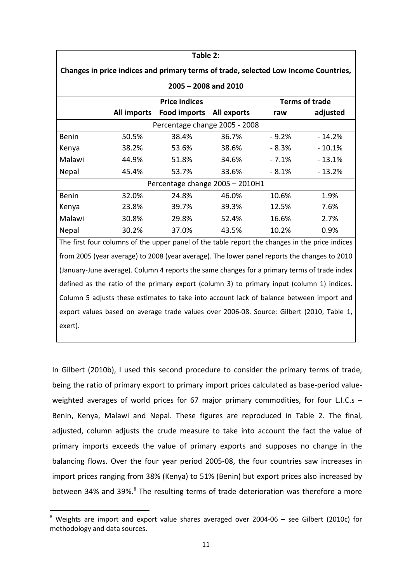| Table 2:                                                                                     |       |                                                                                                |                       |         |          |  |  |  |  |  |  |
|----------------------------------------------------------------------------------------------|-------|------------------------------------------------------------------------------------------------|-----------------------|---------|----------|--|--|--|--|--|--|
| Changes in price indices and primary terms of trade, selected Low Income Countries,          |       |                                                                                                |                       |         |          |  |  |  |  |  |  |
| $2005 - 2008$ and $2010$                                                                     |       |                                                                                                |                       |         |          |  |  |  |  |  |  |
|                                                                                              |       |                                                                                                | <b>Terms of trade</b> |         |          |  |  |  |  |  |  |
|                                                                                              |       | All imports Food imports All exports                                                           |                       | raw     | adjusted |  |  |  |  |  |  |
| Percentage change 2005 - 2008                                                                |       |                                                                                                |                       |         |          |  |  |  |  |  |  |
| Benin                                                                                        | 50.5% | 38.4%                                                                                          | 36.7%                 | $-9.2%$ | $-14.2%$ |  |  |  |  |  |  |
| Kenya                                                                                        | 38.2% | 53.6%                                                                                          | 38.6%                 | $-8.3%$ | $-10.1%$ |  |  |  |  |  |  |
| Malawi                                                                                       | 44.9% | 51.8%                                                                                          | 34.6%                 | $-7.1%$ | $-13.1%$ |  |  |  |  |  |  |
| Nepal                                                                                        | 45.4% | 53.7%                                                                                          | 33.6%                 | $-8.1%$ | $-13.2%$ |  |  |  |  |  |  |
| Percentage change 2005 - 2010H1                                                              |       |                                                                                                |                       |         |          |  |  |  |  |  |  |
| Benin                                                                                        | 32.0% | 24.8%                                                                                          | 46.0%                 | 10.6%   | 1.9%     |  |  |  |  |  |  |
| Kenya                                                                                        | 23.8% | 39.7%                                                                                          | 39.3%                 | 12.5%   | 7.6%     |  |  |  |  |  |  |
| Malawi                                                                                       | 30.8% | 29.8%                                                                                          | 52.4%                 | 16.6%   | 2.7%     |  |  |  |  |  |  |
| Nepal                                                                                        | 30.2% | 37.0%                                                                                          | 43.5%                 | 10.2%   | 0.9%     |  |  |  |  |  |  |
|                                                                                              |       | The first four columns of the upper panel of the table report the changes in the price indices |                       |         |          |  |  |  |  |  |  |
| from 2005 (year average) to 2008 (year average). The lower panel reports the changes to 2010 |       |                                                                                                |                       |         |          |  |  |  |  |  |  |
| (January-June average). Column 4 reports the same changes for a primary terms of trade index |       |                                                                                                |                       |         |          |  |  |  |  |  |  |
| defined as the ratio of the primary export (column 3) to primary input (column 1) indices.   |       |                                                                                                |                       |         |          |  |  |  |  |  |  |
| Column 5 adjusts these estimates to take into account lack of balance between import and     |       |                                                                                                |                       |         |          |  |  |  |  |  |  |
| export values based on average trade values over 2006-08. Source: Gilbert (2010, Table 1,    |       |                                                                                                |                       |         |          |  |  |  |  |  |  |
| exert).                                                                                      |       |                                                                                                |                       |         |          |  |  |  |  |  |  |

In Gilbert (2010b), I used this second procedure to consider the primary terms of trade, being the ratio of primary export to primary import prices calculated as base-period valueweighted averages of world prices for 67 major primary commodities, for four L.I.C.s -Benin, Kenya, Malawi and Nepal. These figures are reproduced in Table 2. The final, adjusted, column adjusts the crude measure to take into account the fact the value of primary imports exceeds the value of primary exports and supposes no change in the balancing flows. Over the four year period 2005-08, the four countries saw increases in import prices ranging from 38% (Kenya) to 51% (Benin) but export prices also increased by between 34% and 39%.<sup>[8](#page-11-0)</sup> The resulting terms of trade deterioration was therefore a more

<span id="page-11-0"></span> $8$  Weights are import and export value shares averaged over 2004-06 – see Gilbert (2010c) for methodology and data sources.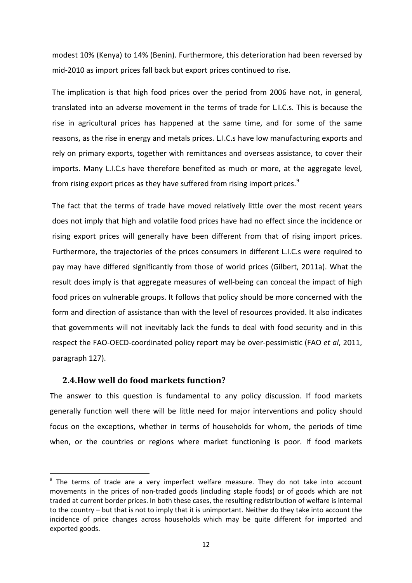modest 10% (Kenya) to 14% (Benin). Furthermore, this deterioration had been reversed by mid-2010 as import prices fall back but export prices continued to rise.

The implication is that high food prices over the period from 2006 have not, in general, translated into an adverse movement in the terms of trade for L.I.C.s. This is because the rise in agricultural prices has happened at the same time, and for some of the same reasons, as the rise in energy and metals prices. L.I.C.s have low manufacturing exports and rely on primary exports, together with remittances and overseas assistance, to cover their imports. Many L.I.C.s have therefore benefited as much or more, at the aggregate level, from rising export prices as they have suffered from rising import prices.<sup>[9](#page-12-1)</sup>

The fact that the terms of trade have moved relatively little over the most recent years does not imply that high and volatile food prices have had no effect since the incidence or rising export prices will generally have been different from that of rising import prices. Furthermore, the trajectories of the prices consumers in different L.I.C.s were required to pay may have differed significantly from those of world prices (Gilbert, 2011a). What the result does imply is that aggregate measures of well-being can conceal the impact of high food prices on vulnerable groups. It follows that policy should be more concerned with the form and direction of assistance than with the level of resources provided. It also indicates that governments will not inevitably lack the funds to deal with food security and in this respect the FAO-OECD-coordinated policy report may be over-pessimistic (FAO *et al*, 2011, paragraph 127).

### <span id="page-12-0"></span>**2.4.How well do food markets function?**

The answer to this question is fundamental to any policy discussion. If food markets generally function well there will be little need for major interventions and policy should focus on the exceptions, whether in terms of households for whom, the periods of time when, or the countries or regions where market functioning is poor. If food markets

<span id="page-12-1"></span> $9$  The terms of trade are a very imperfect welfare measure. They do not take into account movements in the prices of non-traded goods (including staple foods) or of goods which are not traded at current border prices. In both these cases, the resulting redistribution of welfare is internal to the country – but that is not to imply that it is unimportant. Neither do they take into account the incidence of price changes across households which may be quite different for imported and exported goods.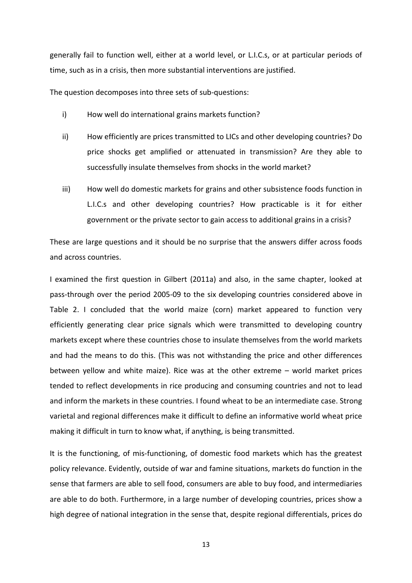generally fail to function well, either at a world level, or L.I.C.s, or at particular periods of time, such as in a crisis, then more substantial interventions are justified.

The question decomposes into three sets of sub-questions:

- i) How well do international grains markets function?
- ii) How efficiently are prices transmitted to LICs and other developing countries? Do price shocks get amplified or attenuated in transmission? Are they able to successfully insulate themselves from shocks in the world market?
- iii) How well do domestic markets for grains and other subsistence foods function in L.I.C.s and other developing countries? How practicable is it for either government or the private sector to gain access to additional grains in a crisis?

These are large questions and it should be no surprise that the answers differ across foods and across countries.

I examined the first question in Gilbert (2011a) and also, in the same chapter, looked at pass-through over the period 2005-09 to the six developing countries considered above in Table 2. I concluded that the world maize (corn) market appeared to function very efficiently generating clear price signals which were transmitted to developing country markets except where these countries chose to insulate themselves from the world markets and had the means to do this. (This was not withstanding the price and other differences between yellow and white maize). Rice was at the other extreme – world market prices tended to reflect developments in rice producing and consuming countries and not to lead and inform the markets in these countries. I found wheat to be an intermediate case. Strong varietal and regional differences make it difficult to define an informative world wheat price making it difficult in turn to know what, if anything, is being transmitted.

It is the functioning, of mis-functioning, of domestic food markets which has the greatest policy relevance. Evidently, outside of war and famine situations, markets do function in the sense that farmers are able to sell food, consumers are able to buy food, and intermediaries are able to do both. Furthermore, in a large number of developing countries, prices show a high degree of national integration in the sense that, despite regional differentials, prices do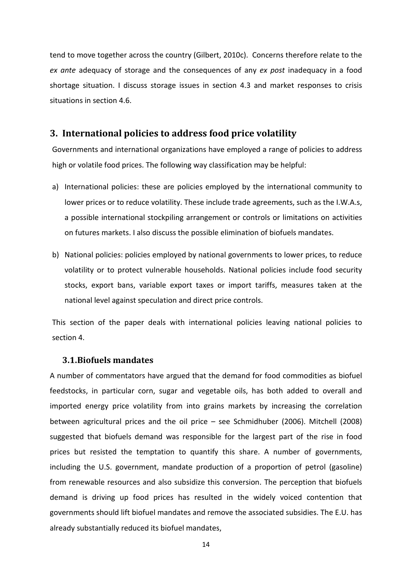tend to move together across the country (Gilbert, 2010c). Concerns therefore relate to the *ex ante* adequacy of storage and the consequences of any *ex post* inadequacy in a food shortage situation. I discuss storage issues in section 4.3 and market responses to crisis situations in section 4.6.

# <span id="page-14-0"></span>**3. International policies to address food price volatility**

Governments and international organizations have employed a range of policies to address high or volatile food prices. The following way classification may be helpful:

- a) International policies: these are policies employed by the international community to lower prices or to reduce volatility. These include trade agreements, such as the I.W.A.s, a possible international stockpiling arrangement or controls or limitations on activities on futures markets. I also discuss the possible elimination of biofuels mandates.
- b) National policies: policies employed by national governments to lower prices, to reduce volatility or to protect vulnerable households. National policies include food security stocks, export bans, variable export taxes or import tariffs, measures taken at the national level against speculation and direct price controls.

This section of the paper deals with international policies leaving national policies to section 4.

#### <span id="page-14-1"></span>**3.1.Biofuels mandates**

A number of commentators have argued that the demand for food commodities as biofuel feedstocks, in particular corn, sugar and vegetable oils, has both added to overall and imported energy price volatility from into grains markets by increasing the correlation between agricultural prices and the oil price – see Schmidhuber (2006). Mitchell (2008) suggested that biofuels demand was responsible for the largest part of the rise in food prices but resisted the temptation to quantify this share. A number of governments, including the U.S. government, mandate production of a proportion of petrol (gasoline) from renewable resources and also subsidize this conversion. The perception that biofuels demand is driving up food prices has resulted in the widely voiced contention that governments should lift biofuel mandates and remove the associated subsidies. The E.U. has already substantially reduced its biofuel mandates,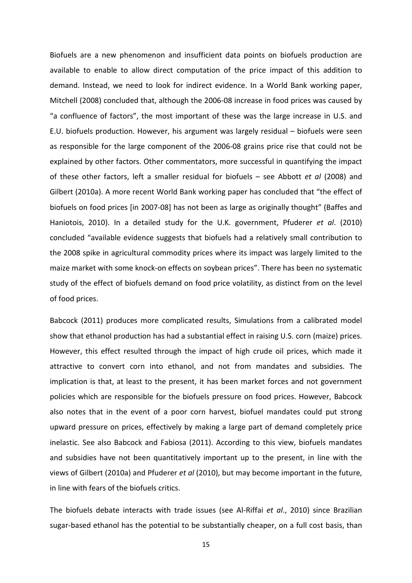Biofuels are a new phenomenon and insufficient data points on biofuels production are available to enable to allow direct computation of the price impact of this addition to demand. Instead, we need to look for indirect evidence. In a World Bank working paper, Mitchell (2008) concluded that, although the 2006-08 increase in food prices was caused by "a confluence of factors", the most important of these was the large increase in U.S. and E.U. biofuels production. However, his argument was largely residual – biofuels were seen as responsible for the large component of the 2006-08 grains price rise that could not be explained by other factors. Other commentators, more successful in quantifying the impact of these other factors, left a smaller residual for biofuels – see Abbott *et al* (2008) and Gilbert (2010a). A more recent World Bank working paper has concluded that "the effect of biofuels on food prices [in 2007-08] has not been as large as originally thought" (Baffes and Haniotois, 2010). In a detailed study for the U.K. government, Pfuderer *et al*. (2010) concluded "available evidence suggests that biofuels had a relatively small contribution to the 2008 spike in agricultural commodity prices where its impact was largely limited to the maize market with some knock-on effects on soybean prices". There has been no systematic study of the effect of biofuels demand on food price volatility, as distinct from on the level of food prices.

Babcock (2011) produces more complicated results, Simulations from a calibrated model show that ethanol production has had a substantial effect in raising U.S. corn (maize) prices. However, this effect resulted through the impact of high crude oil prices, which made it attractive to convert corn into ethanol, and not from mandates and subsidies. The implication is that, at least to the present, it has been market forces and not government policies which are responsible for the biofuels pressure on food prices. However, Babcock also notes that in the event of a poor corn harvest, biofuel mandates could put strong upward pressure on prices, effectively by making a large part of demand completely price inelastic. See also Babcock and Fabiosa (2011). According to this view, biofuels mandates and subsidies have not been quantitatively important up to the present, in line with the views of Gilbert (2010a) and Pfuderer *et al* (2010), but may become important in the future, in line with fears of the biofuels critics.

The biofuels debate interacts with trade issues (see Al-Riffai *et al*., 2010) since Brazilian sugar-based ethanol has the potential to be substantially cheaper, on a full cost basis, than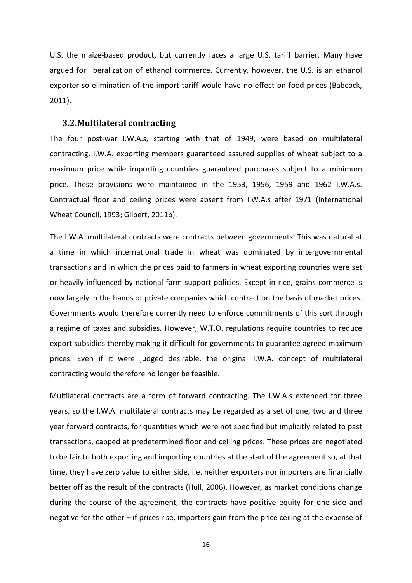U.S. the maize-based product, but currently faces a large U.S. tariff barrier. Many have argued for liberalization of ethanol commerce. Currently, however, the U.S. is an ethanol exporter so elimination of the import tariff would have no effect on food prices (Babcock, 2011).

#### <span id="page-16-0"></span>**3.2.Multilateral contracting**

The four post-war I.W.A.s, starting with that of 1949, were based on multilateral contracting. I.W.A. exporting members guaranteed assured supplies of wheat subject to a maximum price while importing countries guaranteed purchases subject to a minimum price. These provisions were maintained in the 1953, 1956, 1959 and 1962 I.W.A.s. Contractual floor and ceiling prices were absent from I.W.A.s after 1971 (International Wheat Council, 1993; Gilbert, 2011b).

The I.W.A. multilateral contracts were contracts between governments. This was natural at a time in which international trade in wheat was dominated by intergovernmental transactions and in which the prices paid to farmers in wheat exporting countries were set or heavily influenced by national farm support policies. Except in rice, grains commerce is now largely in the hands of private companies which contract on the basis of market prices. Governments would therefore currently need to enforce commitments of this sort through a regime of taxes and subsidies. However, W.T.O. regulations require countries to reduce export subsidies thereby making it difficult for governments to guarantee agreed maximum prices. Even if it were judged desirable, the original I.W.A. concept of multilateral contracting would therefore no longer be feasible.

Multilateral contracts are a form of forward contracting. The I.W.A.s extended for three years, so the I.W.A. multilateral contracts may be regarded as a set of one, two and three year forward contracts, for quantities which were not specified but implicitly related to past transactions, capped at predetermined floor and ceiling prices. These prices are negotiated to be fair to both exporting and importing countries at the start of the agreement so, at that time, they have zero value to either side, i.e. neither exporters nor importers are financially better off as the result of the contracts (Hull, 2006). However, as market conditions change during the course of the agreement, the contracts have positive equity for one side and negative for the other – if prices rise, importers gain from the price ceiling at the expense of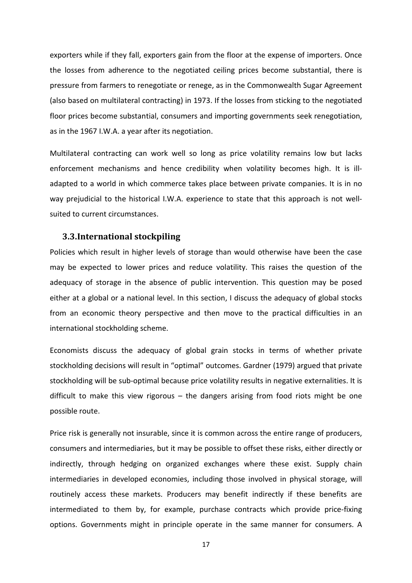exporters while if they fall, exporters gain from the floor at the expense of importers. Once the losses from adherence to the negotiated ceiling prices become substantial, there is pressure from farmers to renegotiate or renege, as in the Commonwealth Sugar Agreement (also based on multilateral contracting) in 1973. If the losses from sticking to the negotiated floor prices become substantial, consumers and importing governments seek renegotiation, as in the 1967 I.W.A. a year after its negotiation.

Multilateral contracting can work well so long as price volatility remains low but lacks enforcement mechanisms and hence credibility when volatility becomes high. It is illadapted to a world in which commerce takes place between private companies. It is in no way prejudicial to the historical I.W.A. experience to state that this approach is not wellsuited to current circumstances.

#### <span id="page-17-0"></span>**3.3.International stockpiling**

Policies which result in higher levels of storage than would otherwise have been the case may be expected to lower prices and reduce volatility. This raises the question of the adequacy of storage in the absence of public intervention. This question may be posed either at a global or a national level. In this section, I discuss the adequacy of global stocks from an economic theory perspective and then move to the practical difficulties in an international stockholding scheme.

Economists discuss the adequacy of global grain stocks in terms of whether private stockholding decisions will result in "optimal" outcomes. Gardner (1979) argued that private stockholding will be sub-optimal because price volatility results in negative externalities. It is difficult to make this view rigorous – the dangers arising from food riots might be one possible route.

Price risk is generally not insurable, since it is common across the entire range of producers, consumers and intermediaries, but it may be possible to offset these risks, either directly or indirectly, through hedging on organized exchanges where these exist. Supply chain intermediaries in developed economies, including those involved in physical storage, will routinely access these markets. Producers may benefit indirectly if these benefits are intermediated to them by, for example, purchase contracts which provide price-fixing options. Governments might in principle operate in the same manner for consumers. A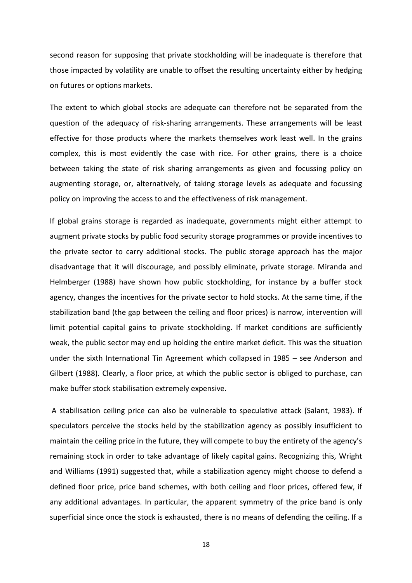second reason for supposing that private stockholding will be inadequate is therefore that those impacted by volatility are unable to offset the resulting uncertainty either by hedging on futures or options markets.

The extent to which global stocks are adequate can therefore not be separated from the question of the adequacy of risk-sharing arrangements. These arrangements will be least effective for those products where the markets themselves work least well. In the grains complex, this is most evidently the case with rice. For other grains, there is a choice between taking the state of risk sharing arrangements as given and focussing policy on augmenting storage, or, alternatively, of taking storage levels as adequate and focussing policy on improving the access to and the effectiveness of risk management.

If global grains storage is regarded as inadequate, governments might either attempt to augment private stocks by public food security storage programmes or provide incentives to the private sector to carry additional stocks. The public storage approach has the major disadvantage that it will discourage, and possibly eliminate, private storage. Miranda and Helmberger (1988) have shown how public stockholding, for instance by a buffer stock agency, changes the incentives for the private sector to hold stocks. At the same time, if the stabilization band (the gap between the ceiling and floor prices) is narrow, intervention will limit potential capital gains to private stockholding. If market conditions are sufficiently weak, the public sector may end up holding the entire market deficit. This was the situation under the sixth International Tin Agreement which collapsed in 1985 – see Anderson and Gilbert (1988). Clearly, a floor price, at which the public sector is obliged to purchase, can make buffer stock stabilisation extremely expensive.

A stabilisation ceiling price can also be vulnerable to speculative attack (Salant, 1983). If speculators perceive the stocks held by the stabilization agency as possibly insufficient to maintain the ceiling price in the future, they will compete to buy the entirety of the agency's remaining stock in order to take advantage of likely capital gains. Recognizing this, Wright and Williams (1991) suggested that, while a stabilization agency might choose to defend a defined floor price, price band schemes, with both ceiling and floor prices, offered few, if any additional advantages. In particular, the apparent symmetry of the price band is only superficial since once the stock is exhausted, there is no means of defending the ceiling. If a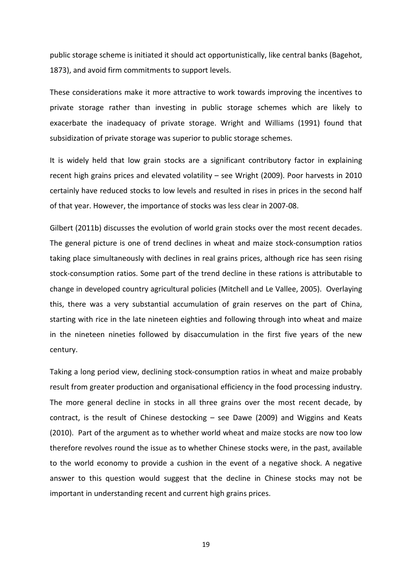public storage scheme is initiated it should act opportunistically, like central banks (Bagehot, 1873), and avoid firm commitments to support levels.

These considerations make it more attractive to work towards improving the incentives to private storage rather than investing in public storage schemes which are likely to exacerbate the inadequacy of private storage. Wright and Williams (1991) found that subsidization of private storage was superior to public storage schemes.

It is widely held that low grain stocks are a significant contributory factor in explaining recent high grains prices and elevated volatility – see Wright (2009). Poor harvests in 2010 certainly have reduced stocks to low levels and resulted in rises in prices in the second half of that year. However, the importance of stocks was less clear in 2007-08.

Gilbert (2011b) discusses the evolution of world grain stocks over the most recent decades. The general picture is one of trend declines in wheat and maize stock-consumption ratios taking place simultaneously with declines in real grains prices, although rice has seen rising stock-consumption ratios. Some part of the trend decline in these rations is attributable to change in developed country agricultural policies (Mitchell and Le Vallee, 2005). Overlaying this, there was a very substantial accumulation of grain reserves on the part of China, starting with rice in the late nineteen eighties and following through into wheat and maize in the nineteen nineties followed by disaccumulation in the first five years of the new century.

Taking a long period view, declining stock-consumption ratios in wheat and maize probably result from greater production and organisational efficiency in the food processing industry. The more general decline in stocks in all three grains over the most recent decade, by contract, is the result of Chinese destocking – see Dawe (2009) and Wiggins and Keats (2010). Part of the argument as to whether world wheat and maize stocks are now too low therefore revolves round the issue as to whether Chinese stocks were, in the past, available to the world economy to provide a cushion in the event of a negative shock. A negative answer to this question would suggest that the decline in Chinese stocks may not be important in understanding recent and current high grains prices.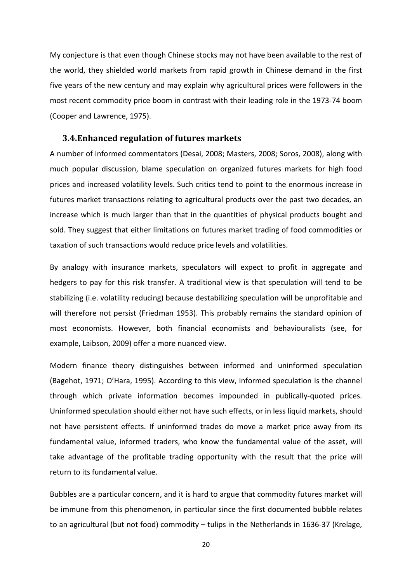My conjecture is that even though Chinese stocks may not have been available to the rest of the world, they shielded world markets from rapid growth in Chinese demand in the first five years of the new century and may explain why agricultural prices were followers in the most recent commodity price boom in contrast with their leading role in the 1973-74 boom (Cooper and Lawrence, 1975).

#### <span id="page-20-0"></span>**3.4.Enhanced regulation of futures markets**

A number of informed commentators (Desai, 2008; Masters, 2008; Soros, 2008), along with much popular discussion, blame speculation on organized futures markets for high food prices and increased volatility levels. Such critics tend to point to the enormous increase in futures market transactions relating to agricultural products over the past two decades, an increase which is much larger than that in the quantities of physical products bought and sold. They suggest that either limitations on futures market trading of food commodities or taxation of such transactions would reduce price levels and volatilities.

By analogy with insurance markets, speculators will expect to profit in aggregate and hedgers to pay for this risk transfer. A traditional view is that speculation will tend to be stabilizing (i.e. volatility reducing) because destabilizing speculation will be unprofitable and will therefore not persist (Friedman 1953). This probably remains the standard opinion of most economists. However, both financial economists and behaviouralists (see, for example, Laibson, 2009) offer a more nuanced view.

Modern finance theory distinguishes between informed and uninformed speculation (Bagehot, 1971; O'Hara, 1995). According to this view, informed speculation is the channel through which private information becomes impounded in publically-quoted prices. Uninformed speculation should either not have such effects, or in less liquid markets, should not have persistent effects. If uninformed trades do move a market price away from its fundamental value, informed traders, who know the fundamental value of the asset, will take advantage of the profitable trading opportunity with the result that the price will return to its fundamental value.

Bubbles are a particular concern, and it is hard to argue that commodity futures market will be immune from this phenomenon, in particular since the first documented bubble relates to an agricultural (but not food) commodity – tulips in the Netherlands in 1636-37 (Krelage,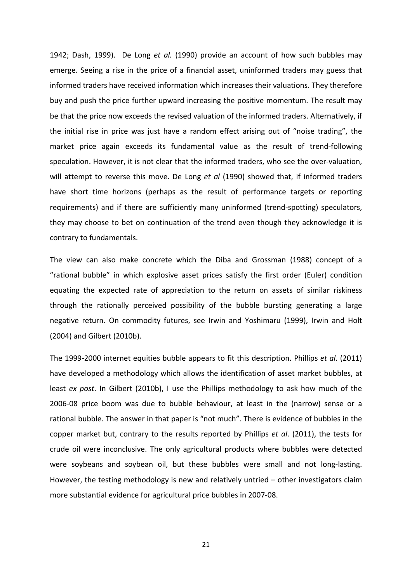1942; Dash, 1999). De Long *et al.* (1990) provide an account of how such bubbles may emerge. Seeing a rise in the price of a financial asset, uninformed traders may guess that informed traders have received information which increases their valuations. They therefore buy and push the price further upward increasing the positive momentum. The result may be that the price now exceeds the revised valuation of the informed traders. Alternatively, if the initial rise in price was just have a random effect arising out of "noise trading", the market price again exceeds its fundamental value as the result of trend-following speculation. However, it is not clear that the informed traders, who see the over-valuation, will attempt to reverse this move. De Long *et al* (1990) showed that, if informed traders have short time horizons (perhaps as the result of performance targets or reporting requirements) and if there are sufficiently many uninformed (trend-spotting) speculators, they may choose to bet on continuation of the trend even though they acknowledge it is contrary to fundamentals.

The view can also make concrete which the Diba and Grossman (1988) concept of a "rational bubble" in which explosive asset prices satisfy the first order (Euler) condition equating the expected rate of appreciation to the return on assets of similar riskiness through the rationally perceived possibility of the bubble bursting generating a large negative return. On commodity futures, see Irwin and Yoshimaru (1999), Irwin and Holt (2004) and Gilbert (2010b).

The 1999-2000 internet equities bubble appears to fit this description. Phillips *et al*. (2011) have developed a methodology which allows the identification of asset market bubbles, at least *ex post*. In Gilbert (2010b), I use the Phillips methodology to ask how much of the 2006-08 price boom was due to bubble behaviour, at least in the (narrow) sense or a rational bubble. The answer in that paper is "not much". There is evidence of bubbles in the copper market but, contrary to the results reported by Phillips *et al*. (2011), the tests for crude oil were inconclusive. The only agricultural products where bubbles were detected were soybeans and soybean oil, but these bubbles were small and not long-lasting. However, the testing methodology is new and relatively untried – other investigators claim more substantial evidence for agricultural price bubbles in 2007-08.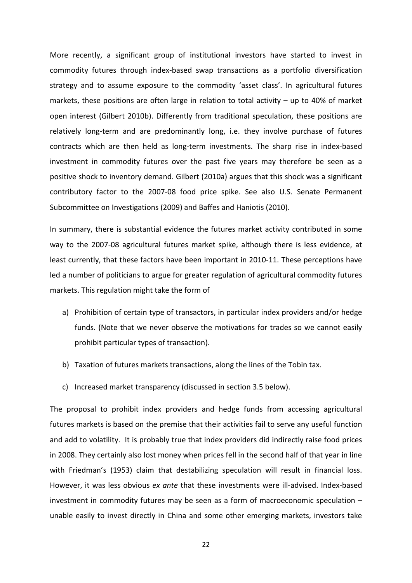More recently, a significant group of institutional investors have started to invest in commodity futures through index-based swap transactions as a portfolio diversification strategy and to assume exposure to the commodity 'asset class'. In agricultural futures markets, these positions are often large in relation to total activity – up to 40% of market open interest (Gilbert 2010b). Differently from traditional speculation, these positions are relatively long-term and are predominantly long, i.e. they involve purchase of futures contracts which are then held as long-term investments. The sharp rise in index-based investment in commodity futures over the past five years may therefore be seen as a positive shock to inventory demand. Gilbert (2010a) argues that this shock was a significant contributory factor to the 2007-08 food price spike. See also U.S. Senate Permanent Subcommittee on Investigations (2009) and Baffes and Haniotis (2010).

In summary, there is substantial evidence the futures market activity contributed in some way to the 2007-08 agricultural futures market spike, although there is less evidence, at least currently, that these factors have been important in 2010-11. These perceptions have led a number of politicians to argue for greater regulation of agricultural commodity futures markets. This regulation might take the form of

- a) Prohibition of certain type of transactors, in particular index providers and/or hedge funds. (Note that we never observe the motivations for trades so we cannot easily prohibit particular types of transaction).
- b) Taxation of futures markets transactions, along the lines of the Tobin tax.
- c) Increased market transparency (discussed in section 3.5 below).

The proposal to prohibit index providers and hedge funds from accessing agricultural futures markets is based on the premise that their activities fail to serve any useful function and add to volatility. It is probably true that index providers did indirectly raise food prices in 2008. They certainly also lost money when prices fell in the second half of that year in line with Friedman's (1953) claim that destabilizing speculation will result in financial loss. However, it was less obvious *ex ante* that these investments were ill-advised. Index-based investment in commodity futures may be seen as a form of macroeconomic speculation – unable easily to invest directly in China and some other emerging markets, investors take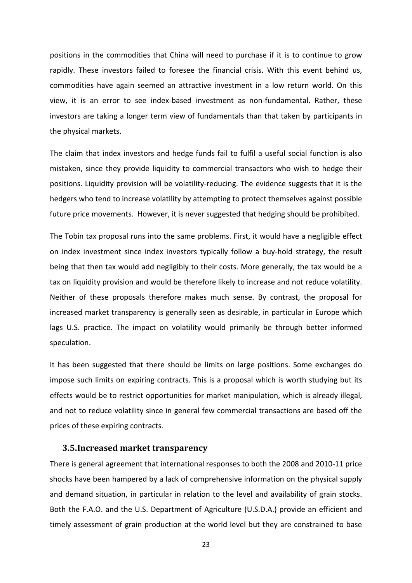positions in the commodities that China will need to purchase if it is to continue to grow rapidly. These investors failed to foresee the financial crisis. With this event behind us, commodities have again seemed an attractive investment in a low return world. On this view, it is an error to see index-based investment as non-fundamental. Rather, these investors are taking a longer term view of fundamentals than that taken by participants in the physical markets.

The claim that index investors and hedge funds fail to fulfil a useful social function is also mistaken, since they provide liquidity to commercial transactors who wish to hedge their positions. Liquidity provision will be volatility-reducing. The evidence suggests that it is the hedgers who tend to increase volatility by attempting to protect themselves against possible future price movements. However, it is never suggested that hedging should be prohibited.

The Tobin tax proposal runs into the same problems. First, it would have a negligible effect on index investment since index investors typically follow a buy-hold strategy, the result being that then tax would add negligibly to their costs. More generally, the tax would be a tax on liquidity provision and would be therefore likely to increase and not reduce volatility. Neither of these proposals therefore makes much sense. By contrast, the proposal for increased market transparency is generally seen as desirable, in particular in Europe which lags U.S. practice. The impact on volatility would primarily be through better informed speculation.

It has been suggested that there should be limits on large positions. Some exchanges do impose such limits on expiring contracts. This is a proposal which is worth studying but its effects would be to restrict opportunities for market manipulation, which is already illegal, and not to reduce volatility since in general few commercial transactions are based off the prices of these expiring contracts.

#### <span id="page-23-0"></span>**3.5.Increased market transparency**

There is general agreement that international responses to both the 2008 and 2010-11 price shocks have been hampered by a lack of comprehensive information on the physical supply and demand situation, in particular in relation to the level and availability of grain stocks. Both the F.A.O. and the U.S. Department of Agriculture (U.S.D.A.) provide an efficient and timely assessment of grain production at the world level but they are constrained to base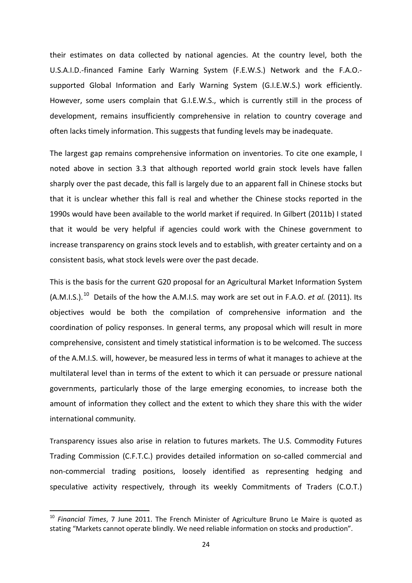their estimates on data collected by national agencies. At the country level, both the U.S.A.I.D.-financed Famine Early Warning System (F.E.W.S.) Network and the F.A.O. supported Global Information and Early Warning System (G.I.E.W.S.) work efficiently. However, some users complain that G.I.E.W.S., which is currently still in the process of development, remains insufficiently comprehensive in relation to country coverage and often lacks timely information. This suggests that funding levels may be inadequate.

The largest gap remains comprehensive information on inventories. To cite one example, I noted above in section 3.3 that although reported world grain stock levels have fallen sharply over the past decade, this fall is largely due to an apparent fall in Chinese stocks but that it is unclear whether this fall is real and whether the Chinese stocks reported in the 1990s would have been available to the world market if required. In Gilbert (2011b) I stated that it would be very helpful if agencies could work with the Chinese government to increase transparency on grains stock levels and to establish, with greater certainty and on a consistent basis, what stock levels were over the past decade.

This is the basis for the current G20 proposal for an Agricultural Market Information System (A.M.I.S.).<sup>[10](#page-24-0)</sup> Details of the how the A.M.I.S. may work are set out in F.A.O. *et al.* (2011). Its objectives would be both the compilation of comprehensive information and the coordination of policy responses. In general terms, any proposal which will result in more comprehensive, consistent and timely statistical information is to be welcomed. The success of the A.M.I.S. will, however, be measured less in terms of what it manages to achieve at the multilateral level than in terms of the extent to which it can persuade or pressure national governments, particularly those of the large emerging economies, to increase both the amount of information they collect and the extent to which they share this with the wider international community.

Transparency issues also arise in relation to futures markets. The U.S. Commodity Futures Trading Commission (C.F.T.C.) provides detailed information on so-called commercial and non-commercial trading positions, loosely identified as representing hedging and speculative activity respectively, through its weekly Commitments of Traders (C.O.T.)

<span id="page-24-0"></span> <sup>10</sup> *Financial Times*, 7 June 2011. The French Minister of Agriculture Bruno Le Maire is quoted as stating "Markets cannot operate blindly. We need reliable information on stocks and production".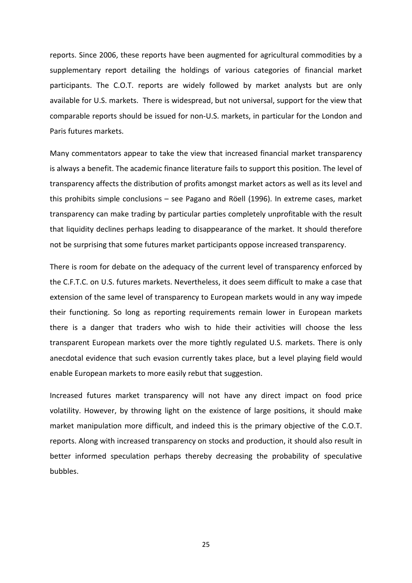reports. Since 2006, these reports have been augmented for agricultural commodities by a supplementary report detailing the holdings of various categories of financial market participants. The C.O.T. reports are widely followed by market analysts but are only available for U.S. markets. There is widespread, but not universal, support for the view that comparable reports should be issued for non-U.S. markets, in particular for the London and Paris futures markets.

Many commentators appear to take the view that increased financial market transparency is always a benefit. The academic finance literature fails to support this position. The level of transparency affects the distribution of profits amongst market actors as well as its level and this prohibits simple conclusions – see Pagano and Röell (1996). In extreme cases, market transparency can make trading by particular parties completely unprofitable with the result that liquidity declines perhaps leading to disappearance of the market. It should therefore not be surprising that some futures market participants oppose increased transparency.

There is room for debate on the adequacy of the current level of transparency enforced by the C.F.T.C. on U.S. futures markets. Nevertheless, it does seem difficult to make a case that extension of the same level of transparency to European markets would in any way impede their functioning. So long as reporting requirements remain lower in European markets there is a danger that traders who wish to hide their activities will choose the less transparent European markets over the more tightly regulated U.S. markets. There is only anecdotal evidence that such evasion currently takes place, but a level playing field would enable European markets to more easily rebut that suggestion.

Increased futures market transparency will not have any direct impact on food price volatility. However, by throwing light on the existence of large positions, it should make market manipulation more difficult, and indeed this is the primary objective of the C.O.T. reports. Along with increased transparency on stocks and production, it should also result in better informed speculation perhaps thereby decreasing the probability of speculative bubbles.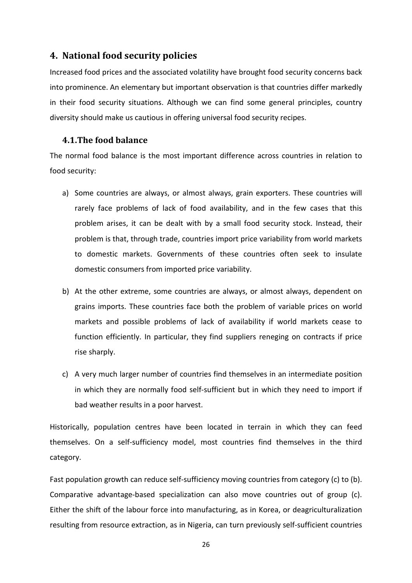# <span id="page-26-0"></span>**4. National food security policies**

Increased food prices and the associated volatility have brought food security concerns back into prominence. An elementary but important observation is that countries differ markedly in their food security situations. Although we can find some general principles, country diversity should make us cautious in offering universal food security recipes.

## <span id="page-26-1"></span>**4.1.The food balance**

The normal food balance is the most important difference across countries in relation to food security:

- a) Some countries are always, or almost always, grain exporters. These countries will rarely face problems of lack of food availability, and in the few cases that this problem arises, it can be dealt with by a small food security stock. Instead, their problem is that, through trade, countries import price variability from world markets to domestic markets. Governments of these countries often seek to insulate domestic consumers from imported price variability.
- b) At the other extreme, some countries are always, or almost always, dependent on grains imports. These countries face both the problem of variable prices on world markets and possible problems of lack of availability if world markets cease to function efficiently. In particular, they find suppliers reneging on contracts if price rise sharply.
- c) A very much larger number of countries find themselves in an intermediate position in which they are normally food self-sufficient but in which they need to import if bad weather results in a poor harvest.

Historically, population centres have been located in terrain in which they can feed themselves. On a self-sufficiency model, most countries find themselves in the third category.

Fast population growth can reduce self-sufficiency moving countries from category (c) to (b). Comparative advantage-based specialization can also move countries out of group (c). Either the shift of the labour force into manufacturing, as in Korea, or deagriculturalization resulting from resource extraction, as in Nigeria, can turn previously self-sufficient countries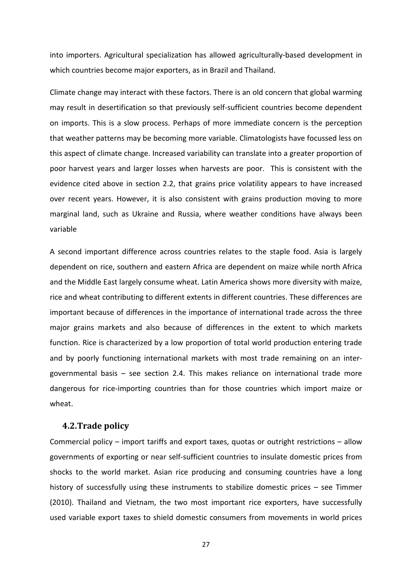into importers. Agricultural specialization has allowed agriculturally-based development in which countries become major exporters, as in Brazil and Thailand.

Climate change may interact with these factors. There is an old concern that global warming may result in desertification so that previously self-sufficient countries become dependent on imports. This is a slow process. Perhaps of more immediate concern is the perception that weather patterns may be becoming more variable. Climatologists have focussed less on this aspect of climate change. Increased variability can translate into a greater proportion of poor harvest years and larger losses when harvests are poor. This is consistent with the evidence cited above in section 2.2, that grains price volatility appears to have increased over recent years. However, it is also consistent with grains production moving to more marginal land, such as Ukraine and Russia, where weather conditions have always been variable

A second important difference across countries relates to the staple food. Asia is largely dependent on rice, southern and eastern Africa are dependent on maize while north Africa and the Middle East largely consume wheat. Latin America shows more diversity with maize, rice and wheat contributing to different extents in different countries. These differences are important because of differences in the importance of international trade across the three major grains markets and also because of differences in the extent to which markets function. Rice is characterized by a low proportion of total world production entering trade and by poorly functioning international markets with most trade remaining on an intergovernmental basis – see section 2.4. This makes reliance on international trade more dangerous for rice-importing countries than for those countries which import maize or wheat.

#### <span id="page-27-0"></span>**4.2.Trade policy**

Commercial policy – import tariffs and export taxes, quotas or outright restrictions – allow governments of exporting or near self-sufficient countries to insulate domestic prices from shocks to the world market. Asian rice producing and consuming countries have a long history of successfully using these instruments to stabilize domestic prices – see Timmer (2010). Thailand and Vietnam, the two most important rice exporters, have successfully used variable export taxes to shield domestic consumers from movements in world prices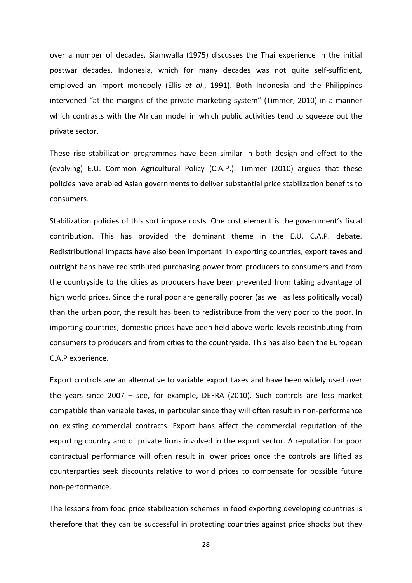over a number of decades. Siamwalla (1975) discusses the Thai experience in the initial postwar decades. Indonesia, which for many decades was not quite self-sufficient, employed an import monopoly (Ellis *et al*., 1991). Both Indonesia and the Philippines intervened "at the margins of the private marketing system" (Timmer, 2010) in a manner which contrasts with the African model in which public activities tend to squeeze out the private sector.

These rise stabilization programmes have been similar in both design and effect to the (evolving) E.U. Common Agricultural Policy (C.A.P.). Timmer (2010) argues that these policies have enabled Asian governments to deliver substantial price stabilization benefits to consumers.

Stabilization policies of this sort impose costs. One cost element is the government's fiscal contribution. This has provided the dominant theme in the E.U. C.A.P. debate. Redistributional impacts have also been important. In exporting countries, export taxes and outright bans have redistributed purchasing power from producers to consumers and from the countryside to the cities as producers have been prevented from taking advantage of high world prices. Since the rural poor are generally poorer (as well as less politically vocal) than the urban poor, the result has been to redistribute from the very poor to the poor. In importing countries, domestic prices have been held above world levels redistributing from consumers to producers and from cities to the countryside. This has also been the European C.A.P experience.

Export controls are an alternative to variable export taxes and have been widely used over the years since 2007 – see, for example, DEFRA (2010). Such controls are less market compatible than variable taxes, in particular since they will often result in non-performance on existing commercial contracts. Export bans affect the commercial reputation of the exporting country and of private firms involved in the export sector. A reputation for poor contractual performance will often result in lower prices once the controls are lifted as counterparties seek discounts relative to world prices to compensate for possible future non-performance.

The lessons from food price stabilization schemes in food exporting developing countries is therefore that they can be successful in protecting countries against price shocks but they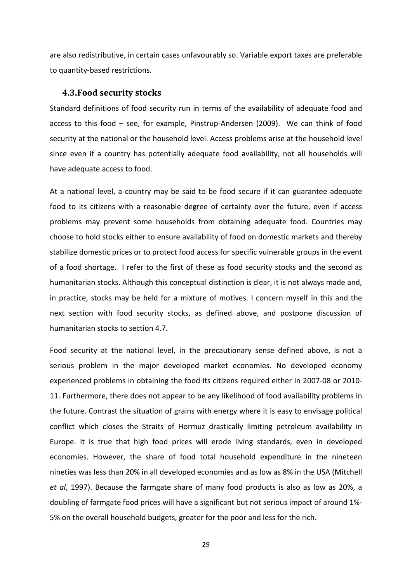are also redistributive, in certain cases unfavourably so. Variable export taxes are preferable to quantity-based restrictions.

#### <span id="page-29-0"></span>**4.3.Food security stocks**

Standard definitions of food security run in terms of the availability of adequate food and access to this food – see, for example, Pinstrup-Andersen (2009). We can think of food security at the national or the household level. Access problems arise at the household level since even if a country has potentially adequate food availability, not all households will have adequate access to food.

At a national level, a country may be said to be food secure if it can guarantee adequate food to its citizens with a reasonable degree of certainty over the future, even if access problems may prevent some households from obtaining adequate food. Countries may choose to hold stocks either to ensure availability of food on domestic markets and thereby stabilize domestic prices or to protect food access for specific vulnerable groups in the event of a food shortage. I refer to the first of these as food security stocks and the second as humanitarian stocks. Although this conceptual distinction is clear, it is not always made and, in practice, stocks may be held for a mixture of motives. I concern myself in this and the next section with food security stocks, as defined above, and postpone discussion of humanitarian stocks to section 4.7.

Food security at the national level, in the precautionary sense defined above, is not a serious problem in the major developed market economies. No developed economy experienced problems in obtaining the food its citizens required either in 2007-08 or 2010- 11. Furthermore, there does not appear to be any likelihood of food availability problems in the future. Contrast the situation of grains with energy where it is easy to envisage political conflict which closes the Straits of Hormuz drastically limiting petroleum availability in Europe. It is true that high food prices will erode living standards, even in developed economies. However, the share of food total household expenditure in the nineteen nineties was less than 20% in all developed economies and as low as 8% in the USA (Mitchell *et al*, 1997). Because the farmgate share of many food products is also as low as 20%, a doubling of farmgate food prices will have a significant but not serious impact of around 1%- 5% on the overall household budgets, greater for the poor and less for the rich.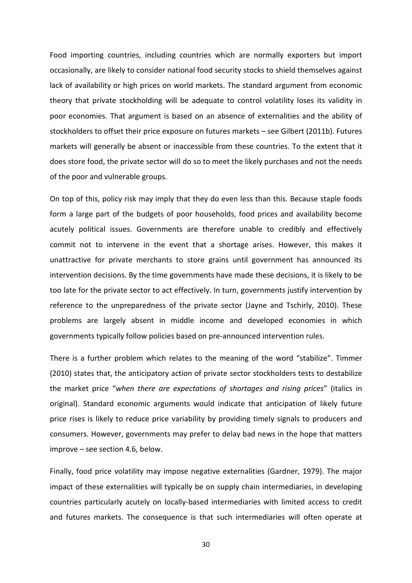Food importing countries, including countries which are normally exporters but import occasionally, are likely to consider national food security stocks to shield themselves against lack of availability or high prices on world markets. The standard argument from economic theory that private stockholding will be adequate to control volatility loses its validity in poor economies. That argument is based on an absence of externalities and the ability of stockholders to offset their price exposure on futures markets – see Gilbert (2011b). Futures markets will generally be absent or inaccessible from these countries. To the extent that it does store food, the private sector will do so to meet the likely purchases and not the needs of the poor and vulnerable groups.

On top of this, policy risk may imply that they do even less than this. Because staple foods form a large part of the budgets of poor households, food prices and availability become acutely political issues. Governments are therefore unable to credibly and effectively commit not to intervene in the event that a shortage arises. However, this makes it unattractive for private merchants to store grains until government has announced its intervention decisions. By the time governments have made these decisions, it is likely to be too late for the private sector to act effectively. In turn, governments justify intervention by reference to the unpreparedness of the private sector (Jayne and Tschirly, 2010). These problems are largely absent in middle income and developed economies in which governments typically follow policies based on pre-announced intervention rules.

There is a further problem which relates to the meaning of the word "stabilize". Timmer (2010) states that, the anticipatory action of private sector stockholders tests to destabilize the market price "*when there are expectations of shortages and rising prices*" (italics in original). Standard economic arguments would indicate that anticipation of likely future price rises is likely to reduce price variability by providing timely signals to producers and consumers. However, governments may prefer to delay bad news in the hope that matters improve – see section 4.6, below.

Finally, food price volatility may impose negative externalities (Gardner, 1979). The major impact of these externalities will typically be on supply chain intermediaries, in developing countries particularly acutely on locally-based intermediaries with limited access to credit and futures markets. The consequence is that such intermediaries will often operate at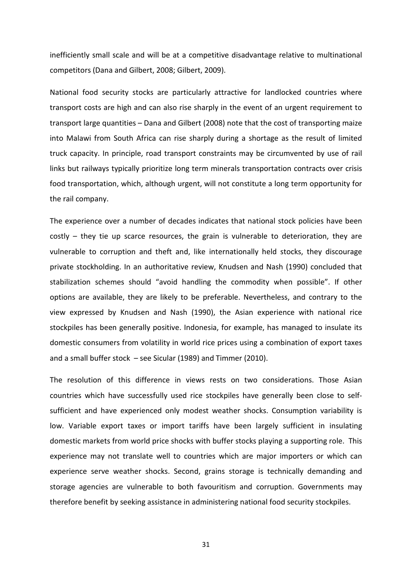inefficiently small scale and will be at a competitive disadvantage relative to multinational competitors (Dana and Gilbert, 2008; Gilbert, 2009).

National food security stocks are particularly attractive for landlocked countries where transport costs are high and can also rise sharply in the event of an urgent requirement to transport large quantities – Dana and Gilbert (2008) note that the cost of transporting maize into Malawi from South Africa can rise sharply during a shortage as the result of limited truck capacity. In principle, road transport constraints may be circumvented by use of rail links but railways typically prioritize long term minerals transportation contracts over crisis food transportation, which, although urgent, will not constitute a long term opportunity for the rail company.

The experience over a number of decades indicates that national stock policies have been costly – they tie up scarce resources, the grain is vulnerable to deterioration, they are vulnerable to corruption and theft and, like internationally held stocks, they discourage private stockholding. In an authoritative review, Knudsen and Nash (1990) concluded that stabilization schemes should "avoid handling the commodity when possible". If other options are available, they are likely to be preferable. Nevertheless, and contrary to the view expressed by Knudsen and Nash (1990), the Asian experience with national rice stockpiles has been generally positive. Indonesia, for example, has managed to insulate its domestic consumers from volatility in world rice prices using a combination of export taxes and a small buffer stock – see Sicular (1989) and Timmer (2010).

The resolution of this difference in views rests on two considerations. Those Asian countries which have successfully used rice stockpiles have generally been close to selfsufficient and have experienced only modest weather shocks. Consumption variability is low. Variable export taxes or import tariffs have been largely sufficient in insulating domestic markets from world price shocks with buffer stocks playing a supporting role. This experience may not translate well to countries which are major importers or which can experience serve weather shocks. Second, grains storage is technically demanding and storage agencies are vulnerable to both favouritism and corruption. Governments may therefore benefit by seeking assistance in administering national food security stockpiles.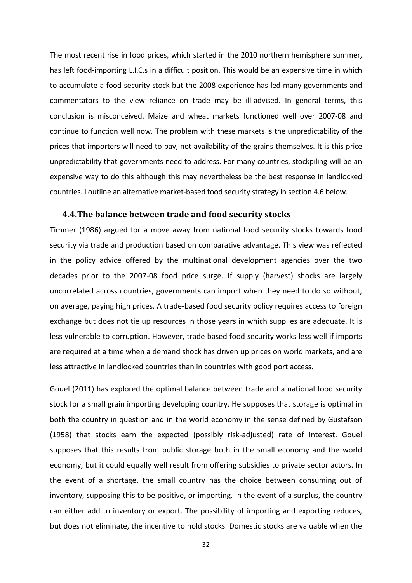The most recent rise in food prices, which started in the 2010 northern hemisphere summer, has left food-importing L.I.C.s in a difficult position. This would be an expensive time in which to accumulate a food security stock but the 2008 experience has led many governments and commentators to the view reliance on trade may be ill-advised. In general terms, this conclusion is misconceived. Maize and wheat markets functioned well over 2007-08 and continue to function well now. The problem with these markets is the unpredictability of the prices that importers will need to pay, not availability of the grains themselves. It is this price unpredictability that governments need to address. For many countries, stockpiling will be an expensive way to do this although this may nevertheless be the best response in landlocked countries. I outline an alternative market-based food security strategy in section 4.6 below.

#### <span id="page-32-0"></span>**4.4.The balance between trade and food security stocks**

Timmer (1986) argued for a move away from national food security stocks towards food security via trade and production based on comparative advantage. This view was reflected in the policy advice offered by the multinational development agencies over the two decades prior to the 2007-08 food price surge. If supply (harvest) shocks are largely uncorrelated across countries, governments can import when they need to do so without, on average, paying high prices. A trade-based food security policy requires access to foreign exchange but does not tie up resources in those years in which supplies are adequate. It is less vulnerable to corruption. However, trade based food security works less well if imports are required at a time when a demand shock has driven up prices on world markets, and are less attractive in landlocked countries than in countries with good port access.

Gouel (2011) has explored the optimal balance between trade and a national food security stock for a small grain importing developing country. He supposes that storage is optimal in both the country in question and in the world economy in the sense defined by Gustafson (1958) that stocks earn the expected (possibly risk-adjusted) rate of interest. Gouel supposes that this results from public storage both in the small economy and the world economy, but it could equally well result from offering subsidies to private sector actors. In the event of a shortage, the small country has the choice between consuming out of inventory, supposing this to be positive, or importing. In the event of a surplus, the country can either add to inventory or export. The possibility of importing and exporting reduces, but does not eliminate, the incentive to hold stocks. Domestic stocks are valuable when the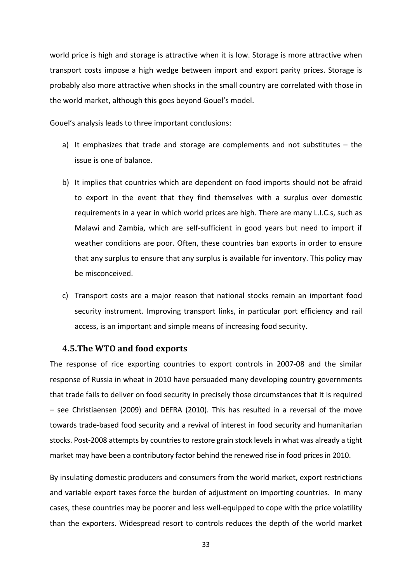world price is high and storage is attractive when it is low. Storage is more attractive when transport costs impose a high wedge between import and export parity prices. Storage is probably also more attractive when shocks in the small country are correlated with those in the world market, although this goes beyond Gouel's model.

Gouel's analysis leads to three important conclusions:

- a) It emphasizes that trade and storage are complements and not substitutes the issue is one of balance.
- b) It implies that countries which are dependent on food imports should not be afraid to export in the event that they find themselves with a surplus over domestic requirements in a year in which world prices are high. There are many L.I.C.s, such as Malawi and Zambia, which are self-sufficient in good years but need to import if weather conditions are poor. Often, these countries ban exports in order to ensure that any surplus to ensure that any surplus is available for inventory. This policy may be misconceived.
- c) Transport costs are a major reason that national stocks remain an important food security instrument. Improving transport links, in particular port efficiency and rail access, is an important and simple means of increasing food security.

#### <span id="page-33-0"></span>**4.5.The WTO and food exports**

The response of rice exporting countries to export controls in 2007-08 and the similar response of Russia in wheat in 2010 have persuaded many developing country governments that trade fails to deliver on food security in precisely those circumstances that it is required – see Christiaensen (2009) and DEFRA (2010). This has resulted in a reversal of the move towards trade-based food security and a revival of interest in food security and humanitarian stocks. Post-2008 attempts by countries to restore grain stock levels in what was already a tight market may have been a contributory factor behind the renewed rise in food prices in 2010.

By insulating domestic producers and consumers from the world market, export restrictions and variable export taxes force the burden of adjustment on importing countries. In many cases, these countries may be poorer and less well-equipped to cope with the price volatility than the exporters. Widespread resort to controls reduces the depth of the world market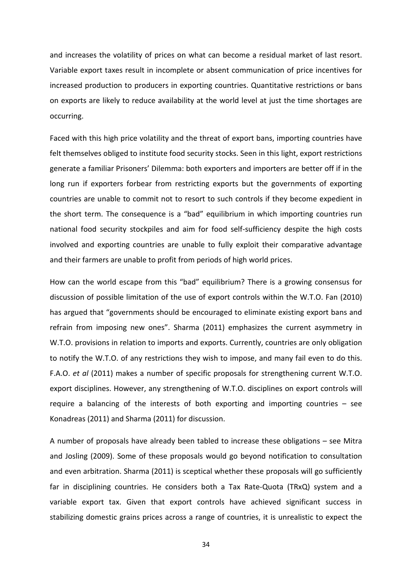and increases the volatility of prices on what can become a residual market of last resort. Variable export taxes result in incomplete or absent communication of price incentives for increased production to producers in exporting countries. Quantitative restrictions or bans on exports are likely to reduce availability at the world level at just the time shortages are occurring.

Faced with this high price volatility and the threat of export bans, importing countries have felt themselves obliged to institute food security stocks. Seen in this light, export restrictions generate a familiar Prisoners' Dilemma: both exporters and importers are better off if in the long run if exporters forbear from restricting exports but the governments of exporting countries are unable to commit not to resort to such controls if they become expedient in the short term. The consequence is a "bad" equilibrium in which importing countries run national food security stockpiles and aim for food self-sufficiency despite the high costs involved and exporting countries are unable to fully exploit their comparative advantage and their farmers are unable to profit from periods of high world prices.

How can the world escape from this "bad" equilibrium? There is a growing consensus for discussion of possible limitation of the use of export controls within the W.T.O. Fan (2010) has argued that "governments should be encouraged to eliminate existing export bans and refrain from imposing new ones". Sharma (2011) emphasizes the current asymmetry in W.T.O. provisions in relation to imports and exports. Currently, countries are only obligation to notify the W.T.O. of any restrictions they wish to impose, and many fail even to do this. F.A.O. *et al* (2011) makes a number of specific proposals for strengthening current W.T.O. export disciplines. However, any strengthening of W.T.O. disciplines on export controls will require a balancing of the interests of both exporting and importing countries – see Konadreas (2011) and Sharma (2011) for discussion.

A number of proposals have already been tabled to increase these obligations – see Mitra and Josling (2009). Some of these proposals would go beyond notification to consultation and even arbitration. Sharma (2011) is sceptical whether these proposals will go sufficiently far in disciplining countries. He considers both a Tax Rate-Quota (TRxQ) system and a variable export tax. Given that export controls have achieved significant success in stabilizing domestic grains prices across a range of countries, it is unrealistic to expect the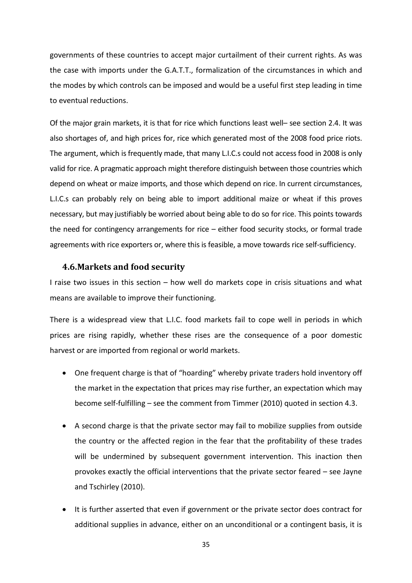governments of these countries to accept major curtailment of their current rights. As was the case with imports under the G.A.T.T., formalization of the circumstances in which and the modes by which controls can be imposed and would be a useful first step leading in time to eventual reductions.

Of the major grain markets, it is that for rice which functions least well– see section 2.4. It was also shortages of, and high prices for, rice which generated most of the 2008 food price riots. The argument, which is frequently made, that many L.I.C.s could not access food in 2008 is only valid for rice. A pragmatic approach might therefore distinguish between those countries which depend on wheat or maize imports, and those which depend on rice. In current circumstances, L.I.C.s can probably rely on being able to import additional maize or wheat if this proves necessary, but may justifiably be worried about being able to do so for rice. This points towards the need for contingency arrangements for rice – either food security stocks, or formal trade agreements with rice exporters or, where this is feasible, a move towards rice self-sufficiency.

### <span id="page-35-0"></span>**4.6.Markets and food security**

I raise two issues in this section – how well do markets cope in crisis situations and what means are available to improve their functioning.

There is a widespread view that L.I.C. food markets fail to cope well in periods in which prices are rising rapidly, whether these rises are the consequence of a poor domestic harvest or are imported from regional or world markets.

- One frequent charge is that of "hoarding" whereby private traders hold inventory off the market in the expectation that prices may rise further, an expectation which may become self-fulfilling – see the comment from Timmer (2010) quoted in section 4.3.
- A second charge is that the private sector may fail to mobilize supplies from outside the country or the affected region in the fear that the profitability of these trades will be undermined by subsequent government intervention. This inaction then provokes exactly the official interventions that the private sector feared – see Jayne and Tschirley (2010).
- It is further asserted that even if government or the private sector does contract for additional supplies in advance, either on an unconditional or a contingent basis, it is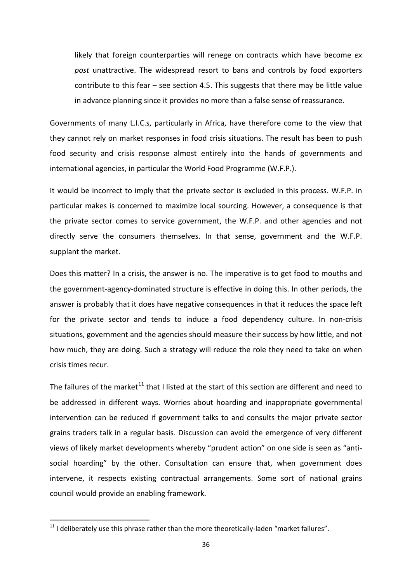likely that foreign counterparties will renege on contracts which have become *ex post* unattractive. The widespread resort to bans and controls by food exporters contribute to this fear – see section 4.5. This suggests that there may be little value in advance planning since it provides no more than a false sense of reassurance.

Governments of many L.I.C.s, particularly in Africa, have therefore come to the view that they cannot rely on market responses in food crisis situations. The result has been to push food security and crisis response almost entirely into the hands of governments and international agencies, in particular the World Food Programme (W.F.P.).

It would be incorrect to imply that the private sector is excluded in this process. W.F.P. in particular makes is concerned to maximize local sourcing. However, a consequence is that the private sector comes to service government, the W.F.P. and other agencies and not directly serve the consumers themselves. In that sense, government and the W.F.P. supplant the market.

Does this matter? In a crisis, the answer is no. The imperative is to get food to mouths and the government-agency-dominated structure is effective in doing this. In other periods, the answer is probably that it does have negative consequences in that it reduces the space left for the private sector and tends to induce a food dependency culture. In non-crisis situations, government and the agencies should measure their success by how little, and not how much, they are doing. Such a strategy will reduce the role they need to take on when crisis times recur.

The failures of the market<sup>[11](#page-36-0)</sup> that I listed at the start of this section are different and need to be addressed in different ways. Worries about hoarding and inappropriate governmental intervention can be reduced if government talks to and consults the major private sector grains traders talk in a regular basis. Discussion can avoid the emergence of very different views of likely market developments whereby "prudent action" on one side is seen as "antisocial hoarding" by the other. Consultation can ensure that, when government does intervene, it respects existing contractual arrangements. Some sort of national grains council would provide an enabling framework.

<span id="page-36-0"></span> $11$  I deliberately use this phrase rather than the more theoretically-laden "market failures".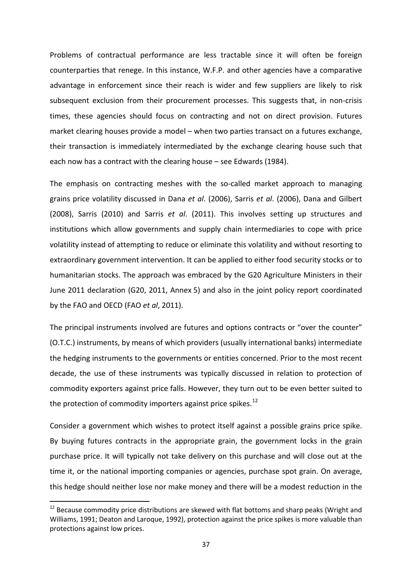Problems of contractual performance are less tractable since it will often be foreign counterparties that renege. In this instance, W.F.P. and other agencies have a comparative advantage in enforcement since their reach is wider and few suppliers are likely to risk subsequent exclusion from their procurement processes. This suggests that, in non-crisis times, these agencies should focus on contracting and not on direct provision. Futures market clearing houses provide a model – when two parties transact on a futures exchange, their transaction is immediately intermediated by the exchange clearing house such that each now has a contract with the clearing house – see Edwards (1984).

The emphasis on contracting meshes with the so-called market approach to managing grains price volatility discussed in Dana *et al*. (2006), Sarris *et al*. (2006), Dana and Gilbert (2008), Sarris (2010) and Sarris *et al*. (2011). This involves setting up structures and institutions which allow governments and supply chain intermediaries to cope with price volatility instead of attempting to reduce or eliminate this volatility and without resorting to extraordinary government intervention. It can be applied to either food security stocks or to humanitarian stocks. The approach was embraced by the G20 Agriculture Ministers in their June 2011 declaration (G20, 2011, Annex 5) and also in the joint policy report coordinated by the FAO and OECD (FAO *et al*, 2011).

The principal instruments involved are futures and options contracts or "over the counter" (O.T.C.) instruments, by means of which providers (usually international banks) intermediate the hedging instruments to the governments or entities concerned. Prior to the most recent decade, the use of these instruments was typically discussed in relation to protection of commodity exporters against price falls. However, they turn out to be even better suited to the protection of commodity importers against price spikes.<sup>[12](#page-37-0)</sup>

Consider a government which wishes to protect itself against a possible grains price spike. By buying futures contracts in the appropriate grain, the government locks in the grain purchase price. It will typically not take delivery on this purchase and will close out at the time it, or the national importing companies or agencies, purchase spot grain. On average, this hedge should neither lose nor make money and there will be a modest reduction in the

<span id="page-37-0"></span><sup>&</sup>lt;sup>12</sup> Because commodity price distributions are skewed with flat bottoms and sharp peaks (Wright and Williams, 1991; Deaton and Laroque, 1992), protection against the price spikes is more valuable than protections against low prices.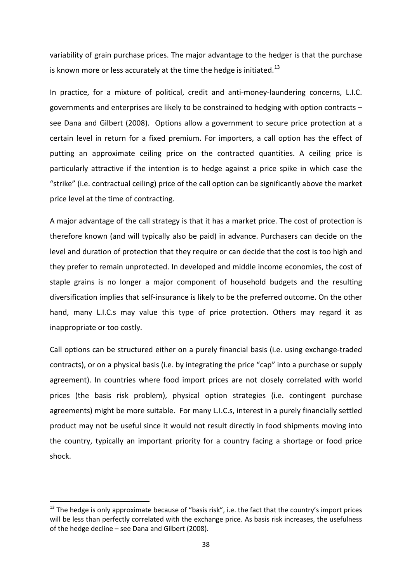variability of grain purchase prices. The major advantage to the hedger is that the purchase is known more or less accurately at the time the hedge is initiated. $^{13}$  $^{13}$  $^{13}$ 

In practice, for a mixture of political, credit and anti-money-laundering concerns, L.I.C. governments and enterprises are likely to be constrained to hedging with option contracts – see Dana and Gilbert (2008). Options allow a government to secure price protection at a certain level in return for a fixed premium. For importers, a call option has the effect of putting an approximate ceiling price on the contracted quantities. A ceiling price is particularly attractive if the intention is to hedge against a price spike in which case the "strike" (i.e. contractual ceiling) price of the call option can be significantly above the market price level at the time of contracting.

A major advantage of the call strategy is that it has a market price. The cost of protection is therefore known (and will typically also be paid) in advance. Purchasers can decide on the level and duration of protection that they require or can decide that the cost is too high and they prefer to remain unprotected. In developed and middle income economies, the cost of staple grains is no longer a major component of household budgets and the resulting diversification implies that self-insurance is likely to be the preferred outcome. On the other hand, many L.I.C.s may value this type of price protection. Others may regard it as inappropriate or too costly.

Call options can be structured either on a purely financial basis (i.e. using exchange-traded contracts), or on a physical basis (i.e. by integrating the price "cap" into a purchase or supply agreement). In countries where food import prices are not closely correlated with world prices (the basis risk problem), physical option strategies (i.e. contingent purchase agreements) might be more suitable. For many L.I.C.s, interest in a purely financially settled product may not be useful since it would not result directly in food shipments moving into the country, typically an important priority for a country facing a shortage or food price shock.

<span id="page-38-0"></span><sup>&</sup>lt;sup>13</sup> The hedge is only approximate because of "basis risk", i.e. the fact that the country's import prices will be less than perfectly correlated with the exchange price. As basis risk increases, the usefulness of the hedge decline – see Dana and Gilbert (2008).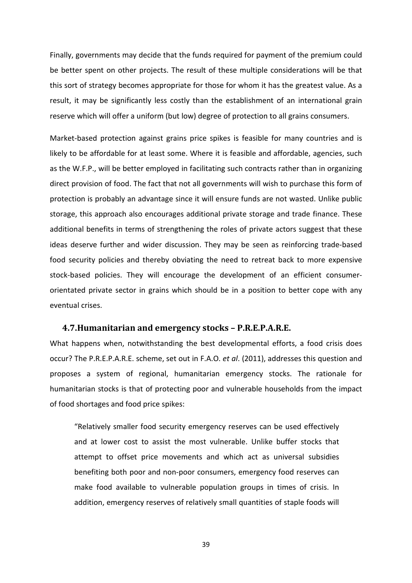Finally, governments may decide that the funds required for payment of the premium could be better spent on other projects. The result of these multiple considerations will be that this sort of strategy becomes appropriate for those for whom it has the greatest value. As a result, it may be significantly less costly than the establishment of an international grain reserve which will offer a uniform (but low) degree of protection to all grains consumers.

Market-based protection against grains price spikes is feasible for many countries and is likely to be affordable for at least some. Where it is feasible and affordable, agencies, such as the W.F.P., will be better employed in facilitating such contracts rather than in organizing direct provision of food. The fact that not all governments will wish to purchase this form of protection is probably an advantage since it will ensure funds are not wasted. Unlike public storage, this approach also encourages additional private storage and trade finance. These additional benefits in terms of strengthening the roles of private actors suggest that these ideas deserve further and wider discussion. They may be seen as reinforcing trade-based food security policies and thereby obviating the need to retreat back to more expensive stock-based policies. They will encourage the development of an efficient consumerorientated private sector in grains which should be in a position to better cope with any eventual crises.

#### <span id="page-39-0"></span>**4.7.Humanitarian and emergency stocks – P.R.E.P.A.R.E.**

What happens when, notwithstanding the best developmental efforts, a food crisis does occur? The P.R.E.P.A.R.E. scheme, set out in F.A.O. *et al*. (2011), addresses this question and proposes a system of regional, humanitarian emergency stocks. The rationale for humanitarian stocks is that of protecting poor and vulnerable households from the impact of food shortages and food price spikes:

"Relatively smaller food security emergency reserves can be used effectively and at lower cost to assist the most vulnerable. Unlike buffer stocks that attempt to offset price movements and which act as universal subsidies benefiting both poor and non-poor consumers, emergency food reserves can make food available to vulnerable population groups in times of crisis. In addition, emergency reserves of relatively small quantities of staple foods will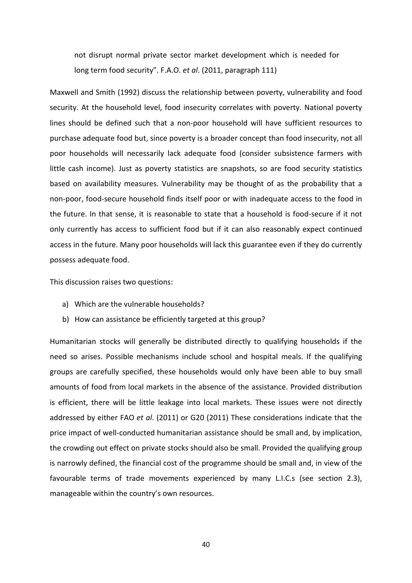not disrupt normal private sector market development which is needed for long term food security". F.A.O. *et al*. (2011, paragraph 111)

Maxwell and Smith (1992) discuss the relationship between poverty, vulnerability and food security. At the household level, food insecurity correlates with poverty. National poverty lines should be defined such that a non-poor household will have sufficient resources to purchase adequate food but, since poverty is a broader concept than food insecurity, not all poor households will necessarily lack adequate food (consider subsistence farmers with little cash income). Just as poverty statistics are snapshots, so are food security statistics based on availability measures. Vulnerability may be thought of as the probability that a non-poor, food-secure household finds itself poor or with inadequate access to the food in the future. In that sense, it is reasonable to state that a household is food-secure if it not only currently has access to sufficient food but if it can also reasonably expect continued access in the future. Many poor households will lack this guarantee even if they do currently possess adequate food.

This discussion raises two questions:

- a) Which are the vulnerable households?
- b) How can assistance be efficiently targeted at this group?

Humanitarian stocks will generally be distributed directly to qualifying households if the need so arises. Possible mechanisms include school and hospital meals. If the qualifying groups are carefully specified, these households would only have been able to buy small amounts of food from local markets in the absence of the assistance. Provided distribution is efficient, there will be little leakage into local markets. These issues were not directly addressed by either FAO *et al*. (2011) or G20 (2011) These considerations indicate that the price impact of well-conducted humanitarian assistance should be small and, by implication, the crowding out effect on private stocks should also be small. Provided the qualifying group is narrowly defined, the financial cost of the programme should be small and, in view of the favourable terms of trade movements experienced by many L.I.C.s (see section 2.3), manageable within the country's own resources.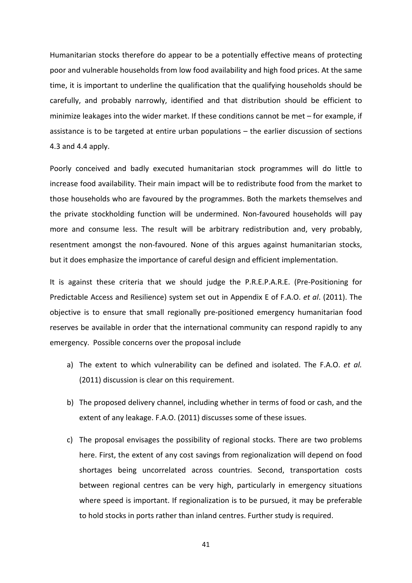Humanitarian stocks therefore do appear to be a potentially effective means of protecting poor and vulnerable households from low food availability and high food prices. At the same time, it is important to underline the qualification that the qualifying households should be carefully, and probably narrowly, identified and that distribution should be efficient to minimize leakages into the wider market. If these conditions cannot be met – for example, if assistance is to be targeted at entire urban populations – the earlier discussion of sections 4.3 and 4.4 apply.

Poorly conceived and badly executed humanitarian stock programmes will do little to increase food availability. Their main impact will be to redistribute food from the market to those households who are favoured by the programmes. Both the markets themselves and the private stockholding function will be undermined. Non-favoured households will pay more and consume less. The result will be arbitrary redistribution and, very probably, resentment amongst the non-favoured. None of this argues against humanitarian stocks, but it does emphasize the importance of careful design and efficient implementation.

It is against these criteria that we should judge the P.R.E.P.A.R.E. (Pre-Positioning for Predictable Access and Resilience) system set out in Appendix E of F.A.O. *et al*. (2011). The objective is to ensure that small regionally pre-positioned emergency humanitarian food reserves be available in order that the international community can respond rapidly to any emergency. Possible concerns over the proposal include

- a) The extent to which vulnerability can be defined and isolated. The F.A.O. *et al.* (2011) discussion is clear on this requirement.
- b) The proposed delivery channel, including whether in terms of food or cash, and the extent of any leakage. F.A.O. (2011) discusses some of these issues.
- c) The proposal envisages the possibility of regional stocks. There are two problems here. First, the extent of any cost savings from regionalization will depend on food shortages being uncorrelated across countries. Second, transportation costs between regional centres can be very high, particularly in emergency situations where speed is important. If regionalization is to be pursued, it may be preferable to hold stocks in ports rather than inland centres. Further study is required.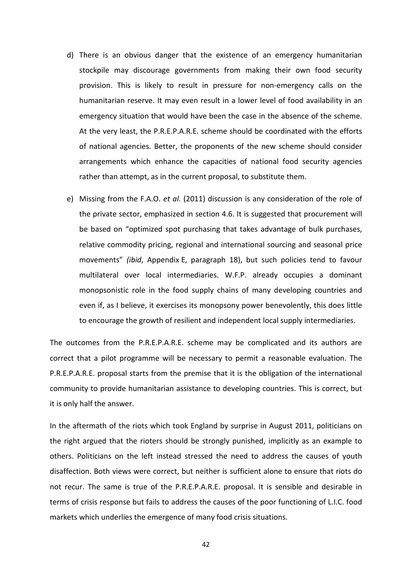- d) There is an obvious danger that the existence of an emergency humanitarian stockpile may discourage governments from making their own food security provision. This is likely to result in pressure for non-emergency calls on the humanitarian reserve. It may even result in a lower level of food availability in an emergency situation that would have been the case in the absence of the scheme. At the very least, the P.R.E.P.A.R.E. scheme should be coordinated with the efforts of national agencies. Better, the proponents of the new scheme should consider arrangements which enhance the capacities of national food security agencies rather than attempt, as in the current proposal, to substitute them.
- e) Missing from the F.A.O. *et al.* (2011) discussion is any consideration of the role of the private sector, emphasized in section 4.6. It is suggested that procurement will be based on "optimized spot purchasing that takes advantage of bulk purchases, relative commodity pricing, regional and international sourcing and seasonal price movements" *(ibid*, Appendix E, paragraph 18), but such policies tend to favour multilateral over local intermediaries. W.F.P. already occupies a dominant monopsonistic role in the food supply chains of many developing countries and even if, as I believe, it exercises its monopsony power benevolently, this does little to encourage the growth of resilient and independent local supply intermediaries.

The outcomes from the P.R.E.P.A.R.E. scheme may be complicated and its authors are correct that a pilot programme will be necessary to permit a reasonable evaluation. The P.R.E.P.A.R.E. proposal starts from the premise that it is the obligation of the international community to provide humanitarian assistance to developing countries. This is correct, but it is only half the answer.

In the aftermath of the riots which took England by surprise in August 2011, politicians on the right argued that the rioters should be strongly punished, implicitly as an example to others. Politicians on the left instead stressed the need to address the causes of youth disaffection. Both views were correct, but neither is sufficient alone to ensure that riots do not recur. The same is true of the P.R.E.P.A.R.E. proposal. It is sensible and desirable in terms of crisis response but fails to address the causes of the poor functioning of L.I.C. food markets which underlies the emergence of many food crisis situations.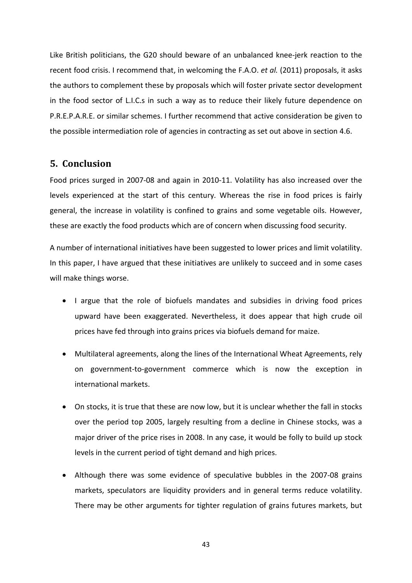Like British politicians, the G20 should beware of an unbalanced knee-jerk reaction to the recent food crisis. I recommend that, in welcoming the F.A.O. *et al.* (2011) proposals, it asks the authors to complement these by proposals which will foster private sector development in the food sector of L.I.C.s in such a way as to reduce their likely future dependence on P.R.E.P.A.R.E. or similar schemes. I further recommend that active consideration be given to the possible intermediation role of agencies in contracting as set out above in section 4.6.

# <span id="page-43-0"></span>**5. Conclusion**

Food prices surged in 2007-08 and again in 2010-11. Volatility has also increased over the levels experienced at the start of this century. Whereas the rise in food prices is fairly general, the increase in volatility is confined to grains and some vegetable oils. However, these are exactly the food products which are of concern when discussing food security.

A number of international initiatives have been suggested to lower prices and limit volatility. In this paper, I have argued that these initiatives are unlikely to succeed and in some cases will make things worse.

- I argue that the role of biofuels mandates and subsidies in driving food prices upward have been exaggerated. Nevertheless, it does appear that high crude oil prices have fed through into grains prices via biofuels demand for maize.
- Multilateral agreements, along the lines of the International Wheat Agreements, rely on government-to-government commerce which is now the exception in international markets.
- On stocks, it is true that these are now low, but it is unclear whether the fall in stocks over the period top 2005, largely resulting from a decline in Chinese stocks, was a major driver of the price rises in 2008. In any case, it would be folly to build up stock levels in the current period of tight demand and high prices.
- Although there was some evidence of speculative bubbles in the 2007-08 grains markets, speculators are liquidity providers and in general terms reduce volatility. There may be other arguments for tighter regulation of grains futures markets, but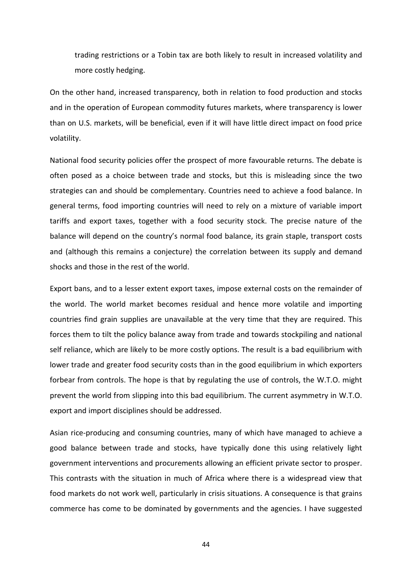trading restrictions or a Tobin tax are both likely to result in increased volatility and more costly hedging.

On the other hand, increased transparency, both in relation to food production and stocks and in the operation of European commodity futures markets, where transparency is lower than on U.S. markets, will be beneficial, even if it will have little direct impact on food price volatility.

National food security policies offer the prospect of more favourable returns. The debate is often posed as a choice between trade and stocks, but this is misleading since the two strategies can and should be complementary. Countries need to achieve a food balance. In general terms, food importing countries will need to rely on a mixture of variable import tariffs and export taxes, together with a food security stock. The precise nature of the balance will depend on the country's normal food balance, its grain staple, transport costs and (although this remains a conjecture) the correlation between its supply and demand shocks and those in the rest of the world.

Export bans, and to a lesser extent export taxes, impose external costs on the remainder of the world. The world market becomes residual and hence more volatile and importing countries find grain supplies are unavailable at the very time that they are required. This forces them to tilt the policy balance away from trade and towards stockpiling and national self reliance, which are likely to be more costly options. The result is a bad equilibrium with lower trade and greater food security costs than in the good equilibrium in which exporters forbear from controls. The hope is that by regulating the use of controls, the W.T.O. might prevent the world from slipping into this bad equilibrium. The current asymmetry in W.T.O. export and import disciplines should be addressed.

Asian rice-producing and consuming countries, many of which have managed to achieve a good balance between trade and stocks, have typically done this using relatively light government interventions and procurements allowing an efficient private sector to prosper. This contrasts with the situation in much of Africa where there is a widespread view that food markets do not work well, particularly in crisis situations. A consequence is that grains commerce has come to be dominated by governments and the agencies. I have suggested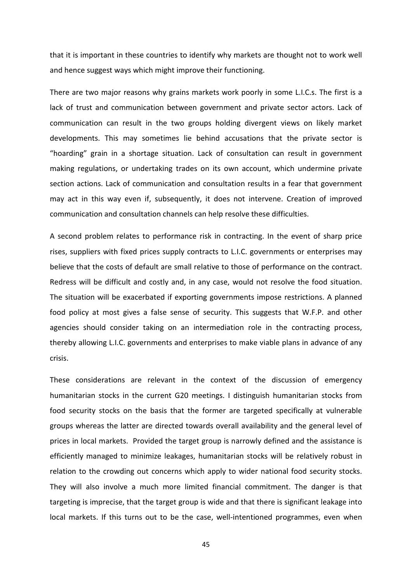that it is important in these countries to identify why markets are thought not to work well and hence suggest ways which might improve their functioning.

There are two major reasons why grains markets work poorly in some L.I.C.s. The first is a lack of trust and communication between government and private sector actors. Lack of communication can result in the two groups holding divergent views on likely market developments. This may sometimes lie behind accusations that the private sector is "hoarding" grain in a shortage situation. Lack of consultation can result in government making regulations, or undertaking trades on its own account, which undermine private section actions. Lack of communication and consultation results in a fear that government may act in this way even if, subsequently, it does not intervene. Creation of improved communication and consultation channels can help resolve these difficulties.

A second problem relates to performance risk in contracting. In the event of sharp price rises, suppliers with fixed prices supply contracts to L.I.C. governments or enterprises may believe that the costs of default are small relative to those of performance on the contract. Redress will be difficult and costly and, in any case, would not resolve the food situation. The situation will be exacerbated if exporting governments impose restrictions. A planned food policy at most gives a false sense of security. This suggests that W.F.P. and other agencies should consider taking on an intermediation role in the contracting process, thereby allowing L.I.C. governments and enterprises to make viable plans in advance of any crisis.

These considerations are relevant in the context of the discussion of emergency humanitarian stocks in the current G20 meetings. I distinguish humanitarian stocks from food security stocks on the basis that the former are targeted specifically at vulnerable groups whereas the latter are directed towards overall availability and the general level of prices in local markets. Provided the target group is narrowly defined and the assistance is efficiently managed to minimize leakages, humanitarian stocks will be relatively robust in relation to the crowding out concerns which apply to wider national food security stocks. They will also involve a much more limited financial commitment. The danger is that targeting is imprecise, that the target group is wide and that there is significant leakage into local markets. If this turns out to be the case, well-intentioned programmes, even when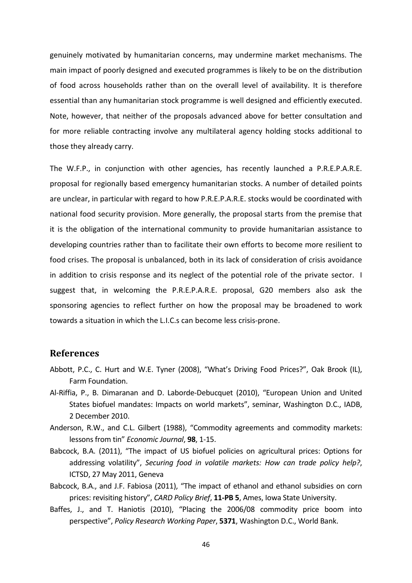genuinely motivated by humanitarian concerns, may undermine market mechanisms. The main impact of poorly designed and executed programmes is likely to be on the distribution of food across households rather than on the overall level of availability. It is therefore essential than any humanitarian stock programme is well designed and efficiently executed. Note, however, that neither of the proposals advanced above for better consultation and for more reliable contracting involve any multilateral agency holding stocks additional to those they already carry.

The W.F.P., in conjunction with other agencies, has recently launched a P.R.E.P.A.R.E. proposal for regionally based emergency humanitarian stocks. A number of detailed points are unclear, in particular with regard to how P.R.E.P.A.R.E. stocks would be coordinated with national food security provision. More generally, the proposal starts from the premise that it is the obligation of the international community to provide humanitarian assistance to developing countries rather than to facilitate their own efforts to become more resilient to food crises. The proposal is unbalanced, both in its lack of consideration of crisis avoidance in addition to crisis response and its neglect of the potential role of the private sector. I suggest that, in welcoming the P.R.E.P.A.R.E. proposal, G20 members also ask the sponsoring agencies to reflect further on how the proposal may be broadened to work towards a situation in which the L.I.C.s can become less crisis-prone.

## <span id="page-46-0"></span>**References**

- Abbott, P.C., C. Hurt and W.E. Tyner (2008), "What's Driving Food Prices?", Oak Brook (IL), Farm Foundation.
- Al-Riffia, P., B. Dimaranan and D. Laborde-Debucquet (2010), "European Union and United States biofuel mandates: Impacts on world markets", seminar, Washington D.C., IADB, 2 December 2010.
- Anderson, R.W., and C.L. Gilbert (1988), "Commodity agreements and commodity markets: lessons from tin" *Economic Journal*, **98**, 1-15.
- Babcock, B.A. (2011), "The impact of US biofuel policies on agricultural prices: Options for addressing volatility", *Securing food in volatile markets: How can trade policy help?*, ICTSD, 27 May 2011, Geneva
- Babcock, B.A., and J.F. Fabiosa (2011), "The impact of ethanol and ethanol subsidies on corn prices: revisiting history", *CARD Policy Brief*, **11-PB 5**, Ames, Iowa State University.
- Baffes, J., and T. Haniotis (2010), "Placing the 2006/08 commodity price boom into perspective", *Policy Research Working Paper*, **5371**, Washington D.C., World Bank.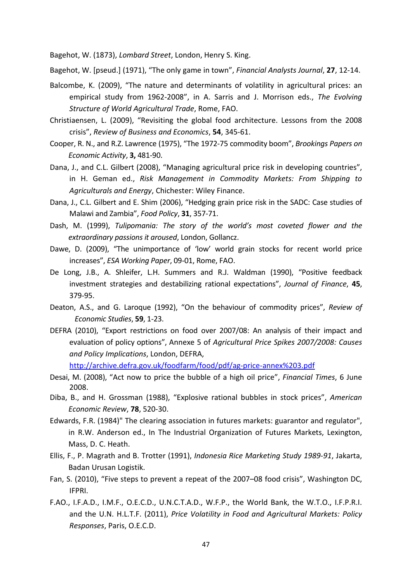Bagehot, W. (1873), *Lombard Street*, London, Henry S. King.

Bagehot, W. [pseud.] (1971), "The only game in town", *Financial Analysts Journal*, **27**, 12-14.

- Balcombe, K. (2009), "The nature and determinants of volatility in agricultural prices: an empirical study from 1962-2008", in A. Sarris and J. Morrison eds., *The Evolving Structure of World Agricultural Trade*, Rome, FAO.
- Christiaensen, L. (2009), "Revisiting the global food architecture. Lessons from the 2008 crisis", *Review of Business and Economics*, **54**, 345-61.
- Cooper, R. N., and R.Z. Lawrence (1975), "The 1972-75 commodity boom", *Brookings Papers on Economic Activity*, **3,** 481-90.
- Dana, J., and C.L. Gilbert (2008), "Managing agricultural price risk in developing countries", in H. Geman ed., *Risk Management in Commodity Markets: From Shipping to Agriculturals and Energy*, Chichester: Wiley Finance.
- Dana, J., C.L. Gilbert and E. Shim (2006), "Hedging grain price risk in the SADC: Case studies of Malawi and Zambia", *Food Policy*, **31**, 357-71.
- Dash, M. (1999), *Tulipomania: The story of the world's most coveted flower and the extraordinary passions it aroused*, London, Gollancz.
- Dawe, D. (2009), "The unimportance of 'low' world grain stocks for recent world price increases", *ESA Working Paper*, 09-01, Rome, FAO.
- De Long, J.B., A. Shleifer, L.H. Summers and R.J. Waldman (1990), "Positive feedback investment strategies and destabilizing rational expectations", *Journal of Finance*, **45**, 379-95.
- Deaton, A.S., and G. Laroque (1992), "On the behaviour of commodity prices", *Review of Economic Studies*, **59**, 1-23.
- DEFRA (2010), "Export restrictions on food over 2007/08: An analysis of their impact and evaluation of policy options", Annexe 5 of *Agricultural Price Spikes 2007/2008: Causes and Policy Implications*, London, DEFRA,

<http://archive.defra.gov.uk/foodfarm/food/pdf/ag-price-annex%203.pdf>

- Desai, M. (2008), "Act now to price the bubble of a high oil price", *Financial Times*, 6 June 2008.
- Diba, B., and H. Grossman (1988), "Explosive rational bubbles in stock prices", *American Economic Review*, **78**, 520-30.
- Edwards, F.R. (1984)" The clearing association in futures markets: guarantor and regulator", in R.W. Anderson ed., In The Industrial Organization of Futures Markets, Lexington, Mass, D. C. Heath.
- Ellis, F., P. Magrath and B. Trotter (1991), *Indonesia Rice Marketing Study 1989-91*, Jakarta, Badan Urusan Logistik.
- Fan, S. (2010), "Five steps to prevent a repeat of the 2007–08 food crisis", Washington DC, IFPRI.
- F.AO., I.F.A.D., I.M.F., O.E.C.D., U.N.C.T.A.D., W.F.P., the World Bank, the W.T.O., I.F.P.R.I. and the U.N. H.L.T.F. (2011), *Price Volatility in Food and Agricultural Markets: Policy Responses*, Paris, O.E.C.D.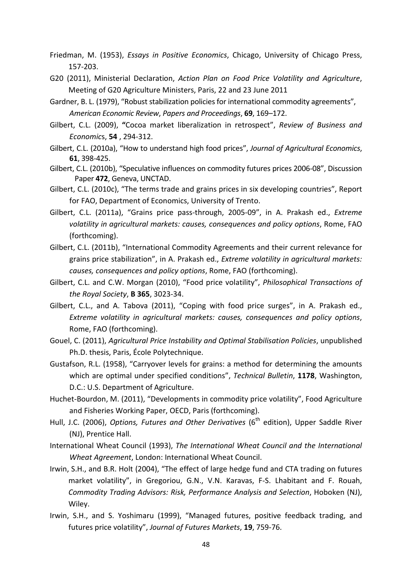- Friedman, M. (1953), *Essays in Positive Economics*, Chicago, University of Chicago Press, 157-203.
- G20 (2011), Ministerial Declaration, *Action Plan on Food Price Volatility and Agriculture*, Meeting of G20 Agriculture Ministers, Paris, 22 and 23 June 2011
- Gardner, B. L. (1979), "Robust stabilization policies for international commodity agreements", *American Economic Review*, *Papers and Proceedings*, **69**, 169–172.
- Gilbert, C.L. (2009), **"**Cocoa market liberalization in retrospect", *Review of Business and Economic*s, **54** , 294-312.
- Gilbert, C.L. (2010a), "How to understand high food prices", *Journal of Agricultural Economics*, **61**, 398-425.
- Gilbert, C.L. (2010b), "Speculative influences on commodity futures prices 2006-08", Discussion Paper **472**, Geneva, UNCTAD.
- Gilbert, C.L. (2010c), "The terms trade and grains prices in six developing countries", Report for FAO, Department of Economics, University of Trento.
- Gilbert, C.L. (2011a), "Grains price pass-through, 2005-09", in A. Prakash ed., *Extreme volatility in agricultural markets: causes, consequences and policy options*, Rome, FAO (forthcoming).
- Gilbert, C.L. (2011b), "International Commodity Agreements and their current relevance for grains price stabilization", in A. Prakash ed., *Extreme volatility in agricultural markets: causes, consequences and policy options*, Rome, FAO (forthcoming).
- Gilbert, C.L. and C.W. Morgan (2010), "Food price volatility", *Philosophical Transactions of the Royal Society*, **B 365**, 3023-34.
- Gilbert, C.L., and A. Tabova (2011), "Coping with food price surges", in A. Prakash ed., *Extreme volatility in agricultural markets: causes, consequences and policy options*, Rome, FAO (forthcoming).
- Gouel, C. (2011), *Agricultural Price Instability and Optimal Stabilisation Policies*, unpublished Ph.D. thesis, Paris, École Polytechnique.
- Gustafson, R.L. (1958), "Carryover levels for grains: a method for determining the amounts which are optimal under specified conditions", *Technical Bulletin*, **1178**, Washington, D.C.: U.S. Department of Agriculture.
- Huchet-Bourdon, M. (2011), "Developments in commodity price volatility", Food Agriculture and Fisheries Working Paper, OECD, Paris (forthcoming).
- Hull, J.C. (2006), *Options, Futures and Other Derivatives* (6<sup>th</sup> edition), Upper Saddle River (NJ), Prentice Hall.
- International Wheat Council (1993), *The International Wheat Council and the International Wheat Agreement*, London: International Wheat Council.
- Irwin, S.H., and B.R. Holt (2004), "The effect of large hedge fund and CTA trading on futures market volatility", in Gregoriou, G.N., V.N. Karavas, F-S. Lhabitant and F. Rouah, *Commodity Trading Advisors: Risk, Performance Analysis and Selection*, Hoboken (NJ), Wiley.
- Irwin, S.H., and S. Yoshimaru (1999), "Managed futures, positive feedback trading, and futures price volatility", *Journal of Futures Markets*, **19**, 759-76.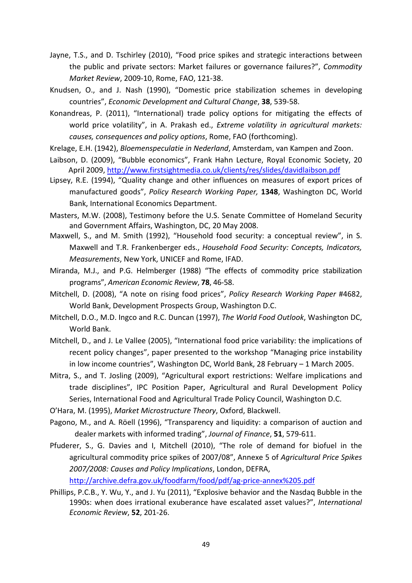- Jayne, T.S., and D. Tschirley (2010), "Food price spikes and strategic interactions between the public and private sectors: Market failures or governance failures?", *Commodity Market Review*, 2009-10, Rome, FAO, 121-38.
- Knudsen, O., and J. Nash (1990), "Domestic price stabilization schemes in developing countries", *Economic Development and Cultural Change*, **38**, 539-58.
- Konandreas, P. (2011), "International) trade policy options for mitigating the effects of world price volatility", in A. Prakash ed., *Extreme volatility in agricultural markets: causes, consequences and policy options*, Rome, FAO (forthcoming).
- Krelage, E.H. (1942), *Bloemenspeculatie in Nederland*, Amsterdam, van Kampen and Zoon.
- Laibson, D. (2009), "Bubble economics", Frank Hahn Lecture, Royal Economic Society, 20 April 2009[, http://www.firstsightmedia.co.uk/clients/res/slides/davidlaibson.pdf](http://www.firstsightmedia.co.uk/clients/res/slides/davidlaibson.pdf)
- Lipsey, R.E. (1994), "Quality change and other influences on measures of export prices of manufactured goods", *Policy Research Working Paper,* **1348**, Washington DC, World Bank, International Economics Department.
- Masters, M.W. (2008), Testimony before the U.S. Senate Committee of Homeland Security and Government Affairs, Washington, DC, 20 May 2008.
- Maxwell, S., and M. Smith (1992), "Household food security: a conceptual review", in S. Maxwell and T.R. Frankenberger eds., *Household Food Security: Concepts, Indicators, Measurements*, New York, UNICEF and Rome, IFAD.
- Miranda, M.J., and P.G. Helmberger (1988) "The effects of commodity price stabilization programs", *American Economic Review*, **78**, 46-58.
- Mitchell, D. (2008), "A note on rising food prices", *Policy Research Working Paper* #4682, World Bank, Development Prospects Group, Washington D.C.
- Mitchell, D.O., M.D. Ingco and R.C. Duncan (1997), *The World Food Outlook*, Washington DC, World Bank.
- Mitchell, D., and J. Le Vallee (2005), "International food price variability: the implications of recent policy changes", paper presented to the workshop "Managing price instability in low income countries", Washington DC, World Bank, 28 February – 1 March 2005.
- Mitra, S., and T. Josling (2009), "Agricultural export restrictions: Welfare implications and trade disciplines", IPC Position Paper, Agricultural and Rural Development Policy Series, International Food and Agricultural Trade Policy Council, Washington D.C.
- O'Hara, M. (1995), *Market Microstructure Theory*, Oxford, Blackwell.
- Pagono, M., and A. Röell (1996), "Transparency and liquidity: a comparison of auction and dealer markets with informed trading", *Journal of Finance*, **51**, 579-611.
- Pfuderer, S., G. Davies and I, Mitchell (2010), "The role of demand for biofuel in the agricultural commodity price spikes of 2007/08", Annexe 5 of *Agricultural Price Spikes 2007/2008: Causes and Policy Implications*, London, DEFRA,

<http://archive.defra.gov.uk/foodfarm/food/pdf/ag-price-annex%205.pdf>

Phillips, P.C.B., Y. Wu, Y., and J. Yu (2011), "Explosive behavior and the Nasdaq Bubble in the 1990s: when does irrational exuberance have escalated asset values?", *International Economic Review*, **52**, 201-26.